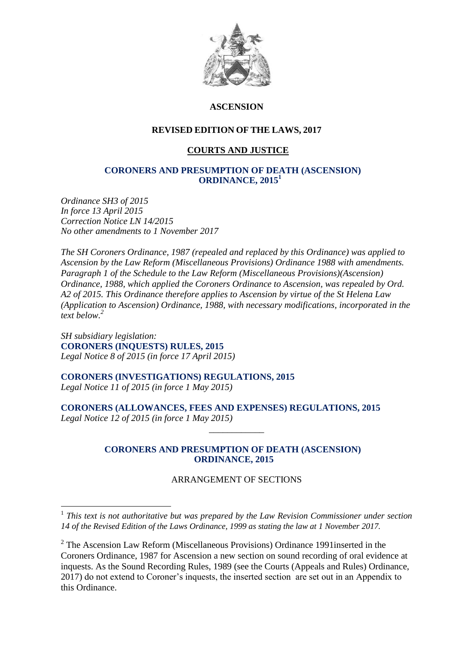

## **ASCENSION**

## **REVISED EDITION OF THE LAWS, 2017**

## **COURTS AND JUSTICE**

#### **CORONERS AND PRESUMPTION OF DEATH (ASCENSION) ORDINANCE, 2015<sup>1</sup>**

*Ordinance SH3 of 2015 In force 13 April 2015 Correction Notice LN 14/2015 No other amendments to 1 November 2017*

*The SH Coroners Ordinance, 1987 (repealed and replaced by this Ordinance) was applied to Ascension by the Law Reform (Miscellaneous Provisions) Ordinance 1988 with amendments. Paragraph 1 of the Schedule to the Law Reform (Miscellaneous Provisions)(Ascension) Ordinance, 1988, which applied the Coroners Ordinance to Ascension, was repealed by Ord. A2 of 2015. This Ordinance therefore applies to Ascension by virtue of the St Helena Law (Application to Ascension) Ordinance, 1988, with necessary modifications, incorporated in the text below. 2*

*SH subsidiary legislation:* **CORONERS (INQUESTS) RULES, 2015** *Legal Notice 8 of 2015 (in force 17 April 2015)*

<u>.</u>

**CORONERS (INVESTIGATIONS) REGULATIONS, 2015** *Legal Notice 11 of 2015 (in force 1 May 2015)*

**CORONERS (ALLOWANCES, FEES AND EXPENSES) REGULATIONS, 2015** *Legal Notice 12 of 2015 (in force 1 May 2015)*

#### **CORONERS AND PRESUMPTION OF DEATH (ASCENSION) ORDINANCE, 2015**

\_\_\_\_\_\_\_\_\_\_\_\_

#### ARRANGEMENT OF SECTIONS

<sup>&</sup>lt;sup>1</sup> This text is not authoritative but was prepared by the Law Revision Commissioner under section *14 of the Revised Edition of the Laws Ordinance, 1999 as stating the law at 1 November 2017.*

<sup>&</sup>lt;sup>2</sup> The Ascension Law Reform (Miscellaneous Provisions) Ordinance 1991 inserted in the Coroners Ordinance, 1987 for Ascension a new section on sound recording of oral evidence at inquests. As the Sound Recording Rules, 1989 (see the Courts (Appeals and Rules) Ordinance, 2017) do not extend to Coroner's inquests, the inserted section are set out in an Appendix to this Ordinance.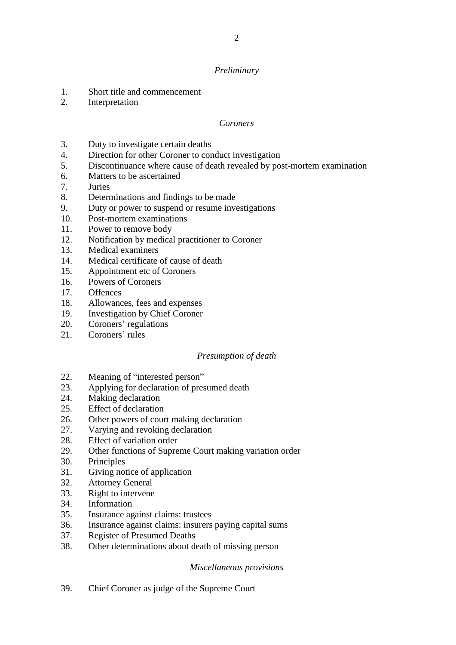#### *Preliminary*

- 1. Short title and commencement
- 2. Interpretation

#### *Coroners*

- 3. Duty to investigate certain deaths
- 4. Direction for other Coroner to conduct investigation
- 5. Discontinuance where cause of death revealed by post-mortem examination
- 6. Matters to be ascertained
- 7. Juries
- 8. Determinations and findings to be made
- 9. Duty or power to suspend or resume investigations
- 10. Post-mortem examinations
- 11. Power to remove body
- 12. Notification by medical practitioner to Coroner
- 13. Medical examiners
- 14. Medical certificate of cause of death
- 15. Appointment etc of Coroners
- 16. Powers of Coroners
- 17. Offences
- 18. Allowances, fees and expenses
- 19. Investigation by Chief Coroner
- 20. Coroners' regulations
- 21. Coroners' rules

#### *Presumption of death*

- 22. Meaning of "interested person"
- 23. Applying for declaration of presumed death
- 24. Making declaration
- 25. Effect of declaration
- 26. Other powers of court making declaration
- 27. Varying and revoking declaration
- 28. Effect of variation order
- 29. Other functions of Supreme Court making variation order
- 30. Principles
- 31. Giving notice of application
- 32. Attorney General
- 33. Right to intervene
- 34. Information
- 35. Insurance against claims: trustees
- 36. Insurance against claims: insurers paying capital sums
- 37. Register of Presumed Deaths
- 38. Other determinations about death of missing person

#### *Miscellaneous provisions*

39. Chief Coroner as judge of the Supreme Court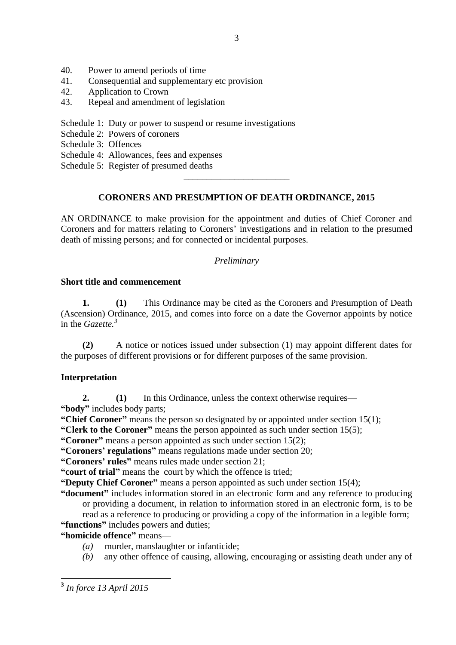- 40. Power to amend periods of time<br>41 Consequential and supplementar
- Consequential and supplementary etc provision
- 42. Application to Crown
- 43. Repeal and amendment of legislation
- Schedule 1: Duty or power to suspend or resume investigations
- Schedule 2: Powers of coroners
- Schedule 3: Offences
- Schedule 4: Allowances, fees and expenses
- Schedule 5: Register of presumed deaths

# **CORONERS AND PRESUMPTION OF DEATH ORDINANCE, 2015**

\_\_\_\_\_\_\_\_\_\_\_\_\_\_\_\_\_\_\_\_\_\_\_

AN ORDINANCE to make provision for the appointment and duties of Chief Coroner and Coroners and for matters relating to Coroners' investigations and in relation to the presumed death of missing persons; and for connected or incidental purposes.

## *Preliminary*

#### **Short title and commencement**

**1. (1)** This Ordinance may be cited as the Coroners and Presumption of Death (Ascension) Ordinance, 2015, and comes into force on a date the Governor appoints by notice in the *Gazette.<sup>3</sup>*

**(2)** A notice or notices issued under subsection (1) may appoint different dates for the purposes of different provisions or for different purposes of the same provision.

# **Interpretation**

**2. (1)** In this Ordinance, unless the context otherwise requires— **"body"** includes body parts;

**"Chief Coroner"** means the person so designated by or appointed under section 15(1);

**"Clerk to the Coroner"** means the person appointed as such under section 15(5);

**"Coroner"** means a person appointed as such under section 15(2);

**"Coroners' regulations"** means regulations made under section 20;

**"Coroners' rules"** means rules made under section 21;

**"court of trial"** means the court by which the offence is tried;

**"Deputy Chief Coroner"** means a person appointed as such under section 15(4);

**"document"** includes information stored in an electronic form and any reference to producing or providing a document, in relation to information stored in an electronic form, is to be read as a reference to producing or providing a copy of the information in a legible form;

# **"functions"** includes powers and duties;

# **"homicide offence"** means—

- *(a)* murder, manslaughter or infanticide;
- *(b)* any other offence of causing, allowing, encouraging or assisting death under any of

 **3** *In force 13 April 2015*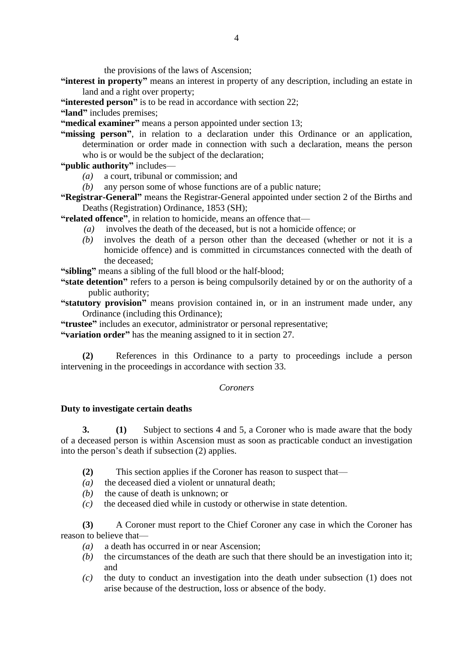the provisions of the laws of Ascension;

- **"interest in property"** means an interest in property of any description, including an estate in land and a right over property;
- **"interested person"** is to be read in accordance with section 22;
- **"land"** includes premises;

**"medical examiner"** means a person appointed under section 13;

**"missing person"**, in relation to a declaration under this Ordinance or an application, determination or order made in connection with such a declaration, means the person who is or would be the subject of the declaration;

**"public authority"** includes—

- *(a)* a court, tribunal or commission; and
- *(b)* any person some of whose functions are of a public nature;
- **"Registrar-General"** means the Registrar-General appointed under section 2 of the Births and Deaths (Registration) Ordinance, 1853 (SH);

**"related offence"**, in relation to homicide, means an offence that—

- *(a)* involves the death of the deceased, but is not a homicide offence; or
- *(b)* involves the death of a person other than the deceased (whether or not it is a homicide offence) and is committed in circumstances connected with the death of the deceased;

**"sibling"** means a sibling of the full blood or the half-blood;

- **"state detention"** refers to a person is being compulsorily detained by or on the authority of a public authority;
- **"statutory provision"** means provision contained in, or in an instrument made under, any Ordinance (including this Ordinance);

**"trustee"** includes an executor, administrator or personal representative;

**"variation order"** has the meaning assigned to it in section 27.

**(2)** References in this Ordinance to a party to proceedings include a person intervening in the proceedings in accordance with section 33.

#### *Coroners*

#### **Duty to investigate certain deaths**

**3. (1)** Subject to sections 4 and 5, a Coroner who is made aware that the body of a deceased person is within Ascension must as soon as practicable conduct an investigation into the person's death if subsection (2) applies.

- **(2)** This section applies if the Coroner has reason to suspect that—
- *(a)* the deceased died a violent or unnatural death;
- *(b)* the cause of death is unknown; or
- *(c)* the deceased died while in custody or otherwise in state detention.

**(3)** A Coroner must report to the Chief Coroner any case in which the Coroner has reason to believe that—

- *(a)* a death has occurred in or near Ascension;
- *(b)* the circumstances of the death are such that there should be an investigation into it; and
- *(c)* the duty to conduct an investigation into the death under subsection (1) does not arise because of the destruction, loss or absence of the body.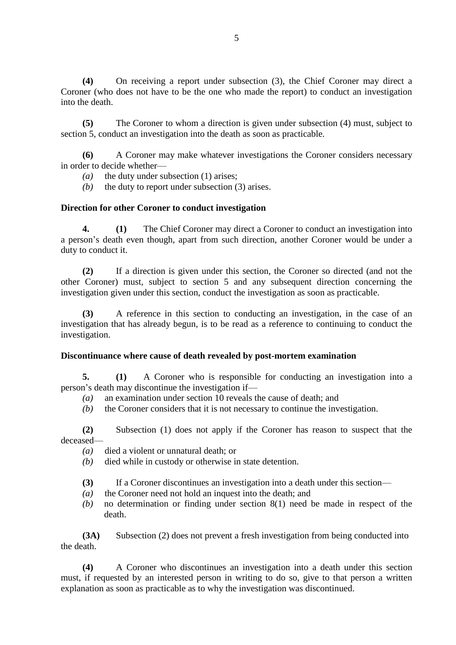**(4)** On receiving a report under subsection (3), the Chief Coroner may direct a Coroner (who does not have to be the one who made the report) to conduct an investigation into the death.

**(5)** The Coroner to whom a direction is given under subsection (4) must, subject to section 5, conduct an investigation into the death as soon as practicable.

**(6)** A Coroner may make whatever investigations the Coroner considers necessary in order to decide whether—

- *(a)* the duty under subsection (1) arises;
- *(b)* the duty to report under subsection (3) arises.

## **Direction for other Coroner to conduct investigation**

**4. (1)** The Chief Coroner may direct a Coroner to conduct an investigation into a person's death even though, apart from such direction, another Coroner would be under a duty to conduct it.

**(2)** If a direction is given under this section, the Coroner so directed (and not the other Coroner) must, subject to section 5 and any subsequent direction concerning the investigation given under this section, conduct the investigation as soon as practicable.

**(3)** A reference in this section to conducting an investigation, in the case of an investigation that has already begun, is to be read as a reference to continuing to conduct the investigation.

#### **Discontinuance where cause of death revealed by post-mortem examination**

**5. (1)** A Coroner who is responsible for conducting an investigation into a person's death may discontinue the investigation if—

- *(a)* an examination under section 10 reveals the cause of death; and
- *(b)* the Coroner considers that it is not necessary to continue the investigation.

**(2)** Subsection (1) does not apply if the Coroner has reason to suspect that the deceased—

- *(a)* died a violent or unnatural death; or
- *(b)* died while in custody or otherwise in state detention.
- **(3)** If a Coroner discontinues an investigation into a death under this section—
- *(a)* the Coroner need not hold an inquest into the death; and
- *(b)* no determination or finding under section 8(1) need be made in respect of the death.

**(3A)** Subsection (2) does not prevent a fresh investigation from being conducted into the death.

**(4)** A Coroner who discontinues an investigation into a death under this section must, if requested by an interested person in writing to do so, give to that person a written explanation as soon as practicable as to why the investigation was discontinued.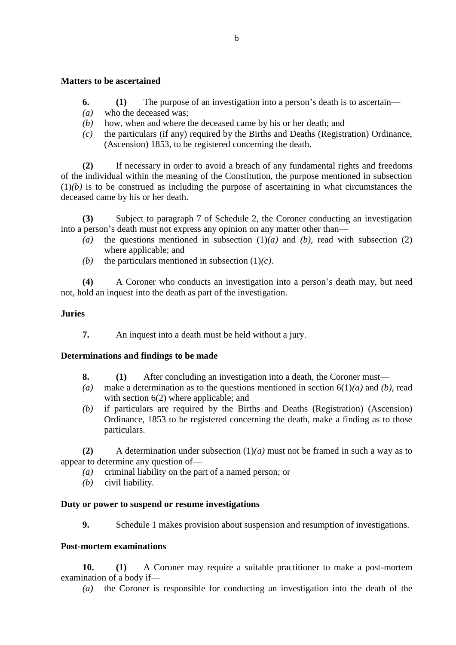#### **Matters to be ascertained**

- **6. (1)** The purpose of an investigation into a person's death is to ascertain—
- *(a)* who the deceased was;
- *(b)* how, when and where the deceased came by his or her death; and
- *(c)* the particulars (if any) required by the Births and Deaths (Registration) Ordinance, (Ascension) 1853, to be registered concerning the death.

**(2)** If necessary in order to avoid a breach of any fundamental rights and freedoms of the individual within the meaning of the Constitution, the purpose mentioned in subsection  $(1)(b)$  is to be construed as including the purpose of ascertaining in what circumstances the deceased came by his or her death.

**(3)** Subject to paragraph 7 of Schedule 2, the Coroner conducting an investigation into a person's death must not express any opinion on any matter other than—

- (a) the questions mentioned in subsection  $(1)(a)$  and  $(b)$ , read with subsection  $(2)$ where applicable; and
- *(b)* the particulars mentioned in subsection  $(1)(c)$ .

**(4)** A Coroner who conducts an investigation into a person's death may, but need not, hold an inquest into the death as part of the investigation.

## **Juries**

**7.** An inquest into a death must be held without a jury.

# **Determinations and findings to be made**

- **8. (1)** After concluding an investigation into a death, the Coroner must—
- *(a)* make a determination as to the questions mentioned in section 6(1)*(a)* and *(b)*, read with section 6(2) where applicable; and
- *(b)* if particulars are required by the Births and Deaths (Registration) (Ascension) Ordinance, 1853 to be registered concerning the death, make a finding as to those particulars.

**(2)** A determination under subsection (1)*(a)* must not be framed in such a way as to appear to determine any question of—

- *(a)* criminal liability on the part of a named person; or
- *(b)* civil liability.

#### **Duty or power to suspend or resume investigations**

**9.** Schedule 1 makes provision about suspension and resumption of investigations.

#### **Post-mortem examinations**

**10. (1)** A Coroner may require a suitable practitioner to make a post-mortem examination of a body if—

*(a)* the Coroner is responsible for conducting an investigation into the death of the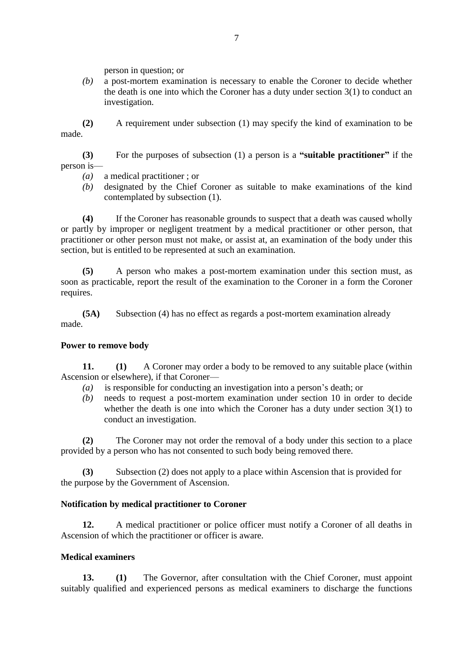person in question; or

*(b)* a post-mortem examination is necessary to enable the Coroner to decide whether the death is one into which the Coroner has a duty under section 3(1) to conduct an investigation.

**(2)** A requirement under subsection (1) may specify the kind of examination to be made.

**(3)** For the purposes of subsection (1) a person is a **"suitable practitioner"** if the person is—

- *(a)* a medical practitioner ; or
- *(b)* designated by the Chief Coroner as suitable to make examinations of the kind contemplated by subsection (1).

**(4)** If the Coroner has reasonable grounds to suspect that a death was caused wholly or partly by improper or negligent treatment by a medical practitioner or other person, that practitioner or other person must not make, or assist at, an examination of the body under this section, but is entitled to be represented at such an examination.

**(5)** A person who makes a post-mortem examination under this section must, as soon as practicable, report the result of the examination to the Coroner in a form the Coroner requires.

**(5A)** Subsection (4) has no effect as regards a post-mortem examination already made.

#### **Power to remove body**

**11. (1)** A Coroner may order a body to be removed to any suitable place (within Ascension or elsewhere), if that Coroner—

- *(a)* is responsible for conducting an investigation into a person's death; or
- *(b)* needs to request a post-mortem examination under section 10 in order to decide whether the death is one into which the Coroner has a duty under section 3(1) to conduct an investigation.

**(2)** The Coroner may not order the removal of a body under this section to a place provided by a person who has not consented to such body being removed there.

**(3)** Subsection (2) does not apply to a place within Ascension that is provided for the purpose by the Government of Ascension.

#### **Notification by medical practitioner to Coroner**

**12.** A medical practitioner or police officer must notify a Coroner of all deaths in Ascension of which the practitioner or officer is aware.

#### **Medical examiners**

**13. (1)** The Governor, after consultation with the Chief Coroner, must appoint suitably qualified and experienced persons as medical examiners to discharge the functions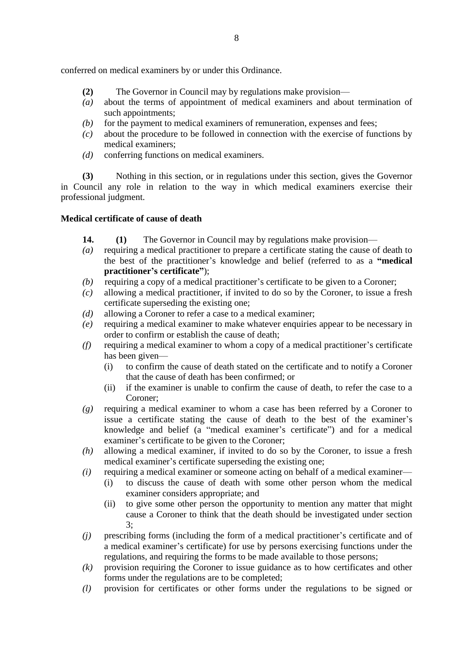conferred on medical examiners by or under this Ordinance.

- **(2)** The Governor in Council may by regulations make provision—
- *(a)* about the terms of appointment of medical examiners and about termination of such appointments;
- *(b)* for the payment to medical examiners of remuneration, expenses and fees;
- *(c)* about the procedure to be followed in connection with the exercise of functions by medical examiners;
- *(d)* conferring functions on medical examiners.

**(3)** Nothing in this section, or in regulations under this section, gives the Governor in Council any role in relation to the way in which medical examiners exercise their professional judgment.

# **Medical certificate of cause of death**

- **14. (1)** The Governor in Council may by regulations make provision—
- *(a)* requiring a medical practitioner to prepare a certificate stating the cause of death to the best of the practitioner's knowledge and belief (referred to as a **"medical practitioner's certificate"**);
- *(b)* requiring a copy of a medical practitioner's certificate to be given to a Coroner;
- *(c)* allowing a medical practitioner, if invited to do so by the Coroner, to issue a fresh certificate superseding the existing one;
- *(d)* allowing a Coroner to refer a case to a medical examiner;
- *(e)* requiring a medical examiner to make whatever enquiries appear to be necessary in order to confirm or establish the cause of death;
- *(f)* requiring a medical examiner to whom a copy of a medical practitioner's certificate has been given—
	- (i) to confirm the cause of death stated on the certificate and to notify a Coroner that the cause of death has been confirmed; or
	- (ii) if the examiner is unable to confirm the cause of death, to refer the case to a Coroner;
- *(g)* requiring a medical examiner to whom a case has been referred by a Coroner to issue a certificate stating the cause of death to the best of the examiner's knowledge and belief (a "medical examiner's certificate") and for a medical examiner's certificate to be given to the Coroner;
- *(h)* allowing a medical examiner, if invited to do so by the Coroner, to issue a fresh medical examiner's certificate superseding the existing one;
- *(i)* requiring a medical examiner or someone acting on behalf of a medical examiner—
	- (i) to discuss the cause of death with some other person whom the medical examiner considers appropriate; and
	- (ii) to give some other person the opportunity to mention any matter that might cause a Coroner to think that the death should be investigated under section 3;
- *(j)* prescribing forms (including the form of a medical practitioner's certificate and of a medical examiner's certificate) for use by persons exercising functions under the regulations, and requiring the forms to be made available to those persons;
- *(k)* provision requiring the Coroner to issue guidance as to how certificates and other forms under the regulations are to be completed;
- *(l)* provision for certificates or other forms under the regulations to be signed or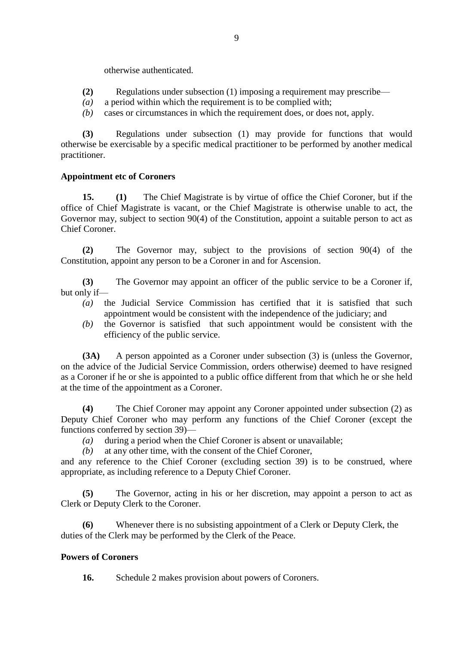otherwise authenticated.

- **(2)** Regulations under subsection (1) imposing a requirement may prescribe—
- *(a)* a period within which the requirement is to be complied with;
- *(b)* cases or circumstances in which the requirement does, or does not, apply.

**(3)** Regulations under subsection (1) may provide for functions that would otherwise be exercisable by a specific medical practitioner to be performed by another medical practitioner.

#### **Appointment etc of Coroners**

**15. (1)** The Chief Magistrate is by virtue of office the Chief Coroner, but if the office of Chief Magistrate is vacant, or the Chief Magistrate is otherwise unable to act, the Governor may, subject to section 90(4) of the Constitution, appoint a suitable person to act as Chief Coroner.

**(2)** The Governor may, subject to the provisions of section 90(4) of the Constitution, appoint any person to be a Coroner in and for Ascension.

**(3)** The Governor may appoint an officer of the public service to be a Coroner if, but only if—

- *(a)* the Judicial Service Commission has certified that it is satisfied that such appointment would be consistent with the independence of the judiciary; and
- *(b)* the Governor is satisfied that such appointment would be consistent with the efficiency of the public service.

**(3A)** A person appointed as a Coroner under subsection (3) is (unless the Governor, on the advice of the Judicial Service Commission, orders otherwise) deemed to have resigned as a Coroner if he or she is appointed to a public office different from that which he or she held at the time of the appointment as a Coroner.

**(4)** The Chief Coroner may appoint any Coroner appointed under subsection (2) as Deputy Chief Coroner who may perform any functions of the Chief Coroner (except the functions conferred by section 39)—

*(a)* during a period when the Chief Coroner is absent or unavailable;

*(b)* at any other time, with the consent of the Chief Coroner,

and any reference to the Chief Coroner (excluding section 39) is to be construed, where appropriate, as including reference to a Deputy Chief Coroner.

**(5)** The Governor, acting in his or her discretion, may appoint a person to act as Clerk or Deputy Clerk to the Coroner.

**(6)** Whenever there is no subsisting appointment of a Clerk or Deputy Clerk, the duties of the Clerk may be performed by the Clerk of the Peace.

#### **Powers of Coroners**

**16.** Schedule 2 makes provision about powers of Coroners.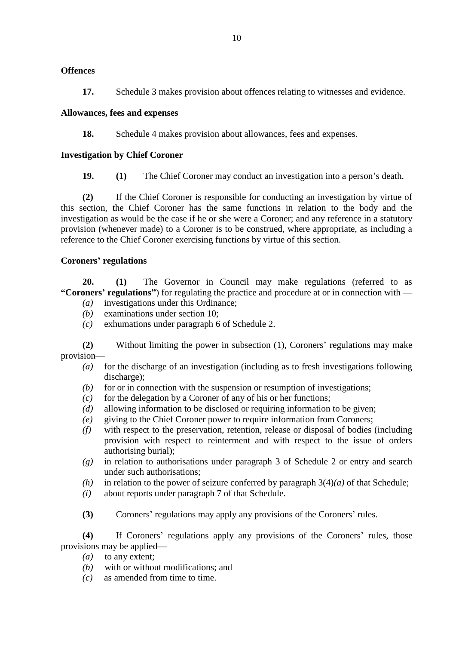## **Offences**

**17.** Schedule 3 makes provision about offences relating to witnesses and evidence.

## **Allowances, fees and expenses**

**18.** Schedule 4 makes provision about allowances, fees and expenses.

## **Investigation by Chief Coroner**

**19. (1)** The Chief Coroner may conduct an investigation into a person's death.

**(2)** If the Chief Coroner is responsible for conducting an investigation by virtue of this section, the Chief Coroner has the same functions in relation to the body and the investigation as would be the case if he or she were a Coroner; and any reference in a statutory provision (whenever made) to a Coroner is to be construed, where appropriate, as including a reference to the Chief Coroner exercising functions by virtue of this section.

# **Coroners' regulations**

**20. (1)** The Governor in Council may make regulations (referred to as **"Coroners' regulations"**) for regulating the practice and procedure at or in connection with — *(a)* investigations under this Ordinance;

- *(b)* examinations under section 10;
- *(c)* exhumations under paragraph 6 of Schedule 2.

**(2)** Without limiting the power in subsection (1), Coroners' regulations may make provision—

- *(a)* for the discharge of an investigation (including as to fresh investigations following discharge);
- *(b)* for or in connection with the suspension or resumption of investigations;
- *(c)* for the delegation by a Coroner of any of his or her functions;
- *(d)* allowing information to be disclosed or requiring information to be given;
- *(e)* giving to the Chief Coroner power to require information from Coroners;
- *(f)* with respect to the preservation, retention, release or disposal of bodies (including provision with respect to reinterment and with respect to the issue of orders authorising burial);
- *(g)* in relation to authorisations under paragraph 3 of Schedule 2 or entry and search under such authorisations;
- *(h)* in relation to the power of seizure conferred by paragraph  $3(4)(a)$  of that Schedule;
- *(i)* about reports under paragraph 7 of that Schedule.
- **(3)** Coroners' regulations may apply any provisions of the Coroners' rules.

**(4)** If Coroners' regulations apply any provisions of the Coroners' rules, those provisions may be applied—

- (*a*) to any extent;
- *(b)* with or without modifications; and
- *(c)* as amended from time to time.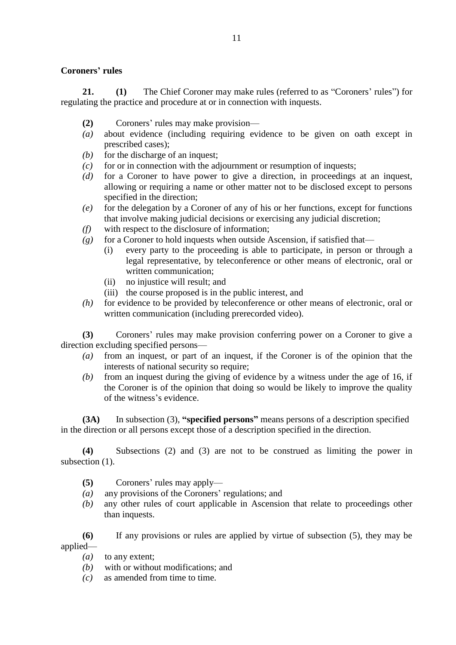#### **Coroners' rules**

**21. (1)** The Chief Coroner may make rules (referred to as "Coroners' rules") for regulating the practice and procedure at or in connection with inquests.

- **(2)** Coroners' rules may make provision—
- *(a)* about evidence (including requiring evidence to be given on oath except in prescribed cases);
- *(b)* for the discharge of an inquest;
- *(c)* for or in connection with the adjournment or resumption of inquests;
- *(d)* for a Coroner to have power to give a direction, in proceedings at an inquest, allowing or requiring a name or other matter not to be disclosed except to persons specified in the direction;
- *(e)* for the delegation by a Coroner of any of his or her functions, except for functions that involve making judicial decisions or exercising any judicial discretion;
- *(f)* with respect to the disclosure of information;
- $(g)$  for a Coroner to hold inquests when outside Ascension, if satisfied that—
	- (i) every party to the proceeding is able to participate, in person or through a legal representative, by teleconference or other means of electronic, oral or written communication;
	- (ii) no injustice will result; and
	- (iii) the course proposed is in the public interest, and
- *(h)* for evidence to be provided by teleconference or other means of electronic, oral or written communication (including prerecorded video).

**(3)** Coroners' rules may make provision conferring power on a Coroner to give a direction excluding specified persons—

- *(a)* from an inquest, or part of an inquest, if the Coroner is of the opinion that the interests of national security so require;
- *(b)* from an inquest during the giving of evidence by a witness under the age of 16, if the Coroner is of the opinion that doing so would be likely to improve the quality of the witness's evidence.

**(3A)** In subsection (3), **"specified persons"** means persons of a description specified in the direction or all persons except those of a description specified in the direction.

**(4)** Subsections (2) and (3) are not to be construed as limiting the power in subsection  $(1)$ .

- **(5)** Coroners' rules may apply—
- *(a)* any provisions of the Coroners' regulations; and
- *(b)* any other rules of court applicable in Ascension that relate to proceedings other than inquests.

**(6)** If any provisions or rules are applied by virtue of subsection (5), they may be applied—

- *(a)* to any extent;
- *(b)* with or without modifications; and
- *(c)* as amended from time to time.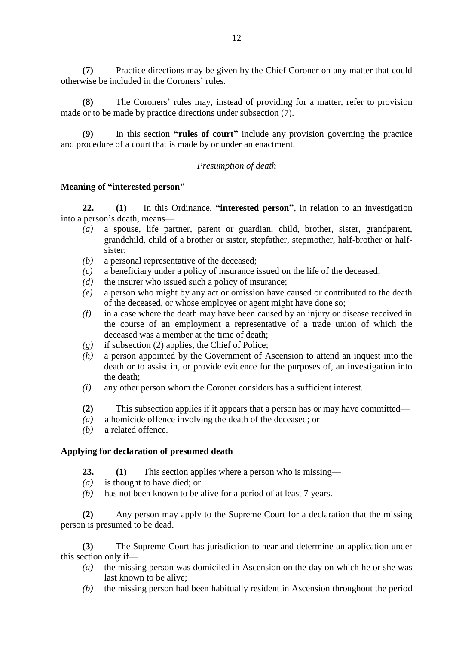**(7)** Practice directions may be given by the Chief Coroner on any matter that could otherwise be included in the Coroners' rules.

The Coroners' rules may, instead of providing for a matter, refer to provision made or to be made by practice directions under subsection (7).

In this section **"rules of court"** include any provision governing the practice and procedure of a court that is made by or under an enactment.

#### *Presumption of death*

#### **Meaning of "interested person"**

**22. (1)** In this Ordinance, **"interested person"**, in relation to an investigation into a person's death, means—

- *(a)* a spouse, life partner, parent or guardian, child, brother, sister, grandparent, grandchild, child of a brother or sister, stepfather, stepmother, half-brother or halfsister;
- *(b)* a personal representative of the deceased;
- *(c)* a beneficiary under a policy of insurance issued on the life of the deceased;
- *(d)* the insurer who issued such a policy of insurance;
- *(e)* a person who might by any act or omission have caused or contributed to the death of the deceased, or whose employee or agent might have done so;
- *(f)* in a case where the death may have been caused by an injury or disease received in the course of an employment a representative of a trade union of which the deceased was a member at the time of death;
- *(g)* if subsection (2) applies, the Chief of Police;
- *(h)* a person appointed by the Government of Ascension to attend an inquest into the death or to assist in, or provide evidence for the purposes of, an investigation into the death;
- *(i)* any other person whom the Coroner considers has a sufficient interest.
- **(2)** This subsection applies if it appears that a person has or may have committed—
- *(a)* a homicide offence involving the death of the deceased; or
- *(b)* a related offence.

#### **Applying for declaration of presumed death**

- **23. (1)** This section applies where a person who is missing—
- *(a)* is thought to have died; or
- *(b)* has not been known to be alive for a period of at least 7 years.

**(2)** Any person may apply to the Supreme Court for a declaration that the missing person is presumed to be dead.

**(3)** The Supreme Court has jurisdiction to hear and determine an application under this section only if—

- *(a)* the missing person was domiciled in Ascension on the day on which he or she was last known to be alive;
- *(b)* the missing person had been habitually resident in Ascension throughout the period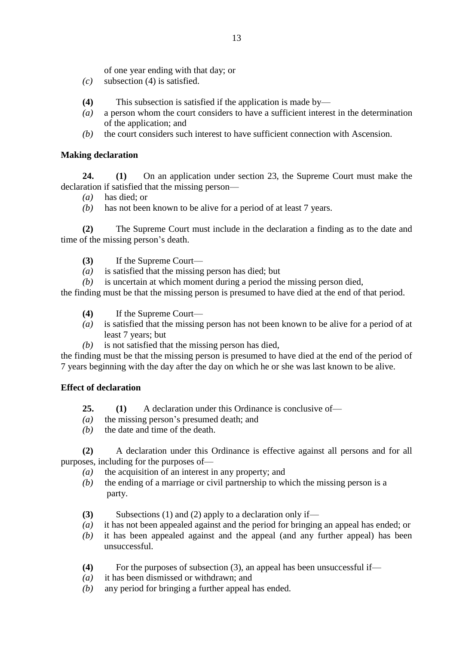of one year ending with that day; or

- *(c)* subsection (4) is satisfied.
- **(4)** This subsection is satisfied if the application is made by—
- *(a)* a person whom the court considers to have a sufficient interest in the determination of the application; and
- *(b)* the court considers such interest to have sufficient connection with Ascension.

# **Making declaration**

**24. (1)** On an application under section 23, the Supreme Court must make the declaration if satisfied that the missing person—

- *(a)* has died; or
- *(b)* has not been known to be alive for a period of at least 7 years.

**(2)** The Supreme Court must include in the declaration a finding as to the date and time of the missing person's death.

- **(3)** If the Supreme Court—
- *(a)* is satisfied that the missing person has died; but
- *(b)* is uncertain at which moment during a period the missing person died,

the finding must be that the missing person is presumed to have died at the end of that period.

- **(4)** If the Supreme Court—
- *(a)* is satisfied that the missing person has not been known to be alive for a period of at least 7 years; but
- *(b)* is not satisfied that the missing person has died,

the finding must be that the missing person is presumed to have died at the end of the period of 7 years beginning with the day after the day on which he or she was last known to be alive.

# **Effect of declaration**

- **25. (1)** A declaration under this Ordinance is conclusive of—
- *(a)* the missing person's presumed death; and
- *(b)* the date and time of the death.

**(2)** A declaration under this Ordinance is effective against all persons and for all purposes, including for the purposes of—

- *(a)* the acquisition of an interest in any property; and
- *(b)* the ending of a marriage or civil partnership to which the missing person is a party.
- **(3)** Subsections (1) and (2) apply to a declaration only if—
- *(a)* it has not been appealed against and the period for bringing an appeal has ended; or
- *(b)* it has been appealed against and the appeal (and any further appeal) has been unsuccessful.
- **(4)** For the purposes of subsection (3), an appeal has been unsuccessful if—
- *(a)* it has been dismissed or withdrawn; and
- *(b)* any period for bringing a further appeal has ended.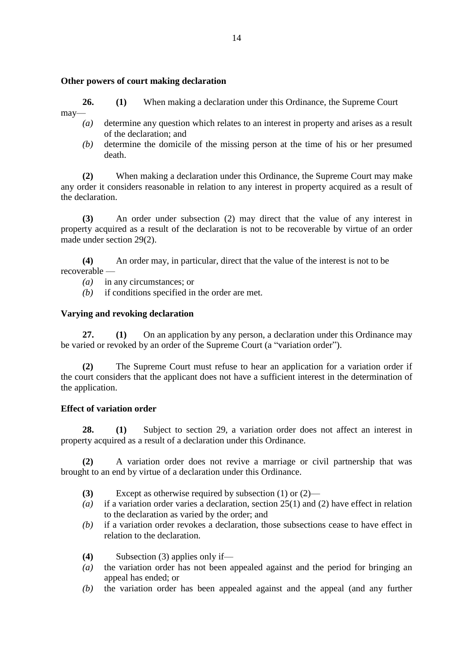#### **Other powers of court making declaration**

**26. (1)** When making a declaration under this Ordinance, the Supreme Court

may—

- *(a)* determine any question which relates to an interest in property and arises as a result of the declaration; and
- *(b)* determine the domicile of the missing person at the time of his or her presumed death.

**(2)** When making a declaration under this Ordinance, the Supreme Court may make any order it considers reasonable in relation to any interest in property acquired as a result of the declaration.

**(3)** An order under subsection (2) may direct that the value of any interest in property acquired as a result of the declaration is not to be recoverable by virtue of an order made under section 29(2).

**(4)** An order may, in particular, direct that the value of the interest is not to be recoverable —

- *(a)* in any circumstances; or
- *(b)* if conditions specified in the order are met.

## **Varying and revoking declaration**

**27. (1)** On an application by any person, a declaration under this Ordinance may be varied or revoked by an order of the Supreme Court (a "variation order").

**(2)** The Supreme Court must refuse to hear an application for a variation order if the court considers that the applicant does not have a sufficient interest in the determination of the application.

#### **Effect of variation order**

**28. (1)** Subject to section 29, a variation order does not affect an interest in property acquired as a result of a declaration under this Ordinance.

**(2)** A variation order does not revive a marriage or civil partnership that was brought to an end by virtue of a declaration under this Ordinance.

- **(3)** Except as otherwise required by subsection (1) or (2)—
- *(a)* if a variation order varies a declaration, section 25(1) and (2) have effect in relation to the declaration as varied by the order; and
- *(b)* if a variation order revokes a declaration, those subsections cease to have effect in relation to the declaration.
- **(4)** Subsection (3) applies only if—
- *(a)* the variation order has not been appealed against and the period for bringing an appeal has ended; or
- *(b)* the variation order has been appealed against and the appeal (and any further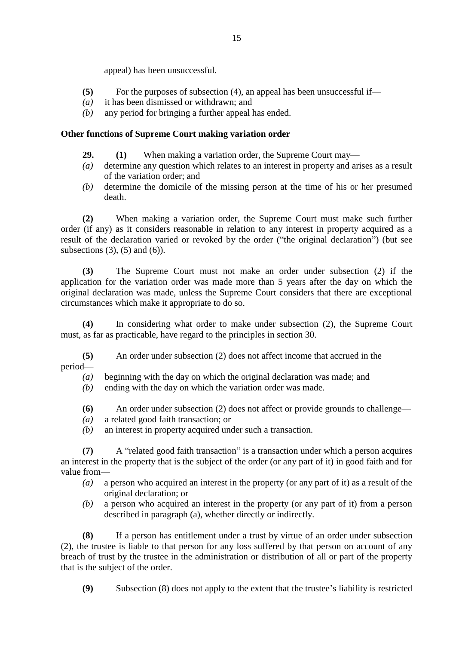appeal) has been unsuccessful.

- **(5)** For the purposes of subsection (4), an appeal has been unsuccessful if—
- *(a)* it has been dismissed or withdrawn; and
- *(b)* any period for bringing a further appeal has ended.

#### **Other functions of Supreme Court making variation order**

- **29. (1)** When making a variation order, the Supreme Court may—
- *(a)* determine any question which relates to an interest in property and arises as a result of the variation order; and
- *(b)* determine the domicile of the missing person at the time of his or her presumed death.

**(2)** When making a variation order, the Supreme Court must make such further order (if any) as it considers reasonable in relation to any interest in property acquired as a result of the declaration varied or revoked by the order ("the original declaration") (but see subsections  $(3)$ ,  $(5)$  and  $(6)$ ).

**(3)** The Supreme Court must not make an order under subsection (2) if the application for the variation order was made more than 5 years after the day on which the original declaration was made, unless the Supreme Court considers that there are exceptional circumstances which make it appropriate to do so.

**(4)** In considering what order to make under subsection (2), the Supreme Court must, as far as practicable, have regard to the principles in section 30.

**(5)** An order under subsection (2) does not affect income that accrued in the period—

- *(a)* beginning with the day on which the original declaration was made; and
- *(b)* ending with the day on which the variation order was made.
- **(6)** An order under subsection (2) does not affect or provide grounds to challenge—
- *(a)* a related good faith transaction; or
- *(b)* an interest in property acquired under such a transaction.

**(7)** A "related good faith transaction" is a transaction under which a person acquires an interest in the property that is the subject of the order (or any part of it) in good faith and for value from—

- *(a)* a person who acquired an interest in the property (or any part of it) as a result of the original declaration; or
- *(b)* a person who acquired an interest in the property (or any part of it) from a person described in paragraph (a), whether directly or indirectly.

**(8)** If a person has entitlement under a trust by virtue of an order under subsection (2), the trustee is liable to that person for any loss suffered by that person on account of any breach of trust by the trustee in the administration or distribution of all or part of the property that is the subject of the order.

**(9)** Subsection (8) does not apply to the extent that the trustee's liability is restricted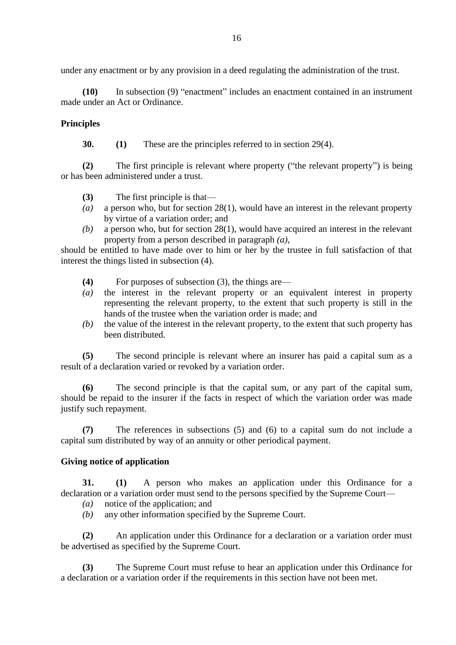under any enactment or by any provision in a deed regulating the administration of the trust.

**(10)** In subsection (9) "enactment" includes an enactment contained in an instrument made under an Act or Ordinance.

## **Principles**

**30. (1)** These are the principles referred to in section 29(4).

**(2)** The first principle is relevant where property ("the relevant property") is being or has been administered under a trust.

- **(3)** The first principle is that—
- *(a)* a person who, but for section 28(1), would have an interest in the relevant property by virtue of a variation order; and
- *(b)* a person who, but for section 28(1), would have acquired an interest in the relevant property from a person described in paragraph *(a)*,

should be entitled to have made over to him or her by the trustee in full satisfaction of that interest the things listed in subsection (4).

- **(4)** For purposes of subsection (3), the things are—
- *(a)* the interest in the relevant property or an equivalent interest in property representing the relevant property, to the extent that such property is still in the hands of the trustee when the variation order is made; and
- *(b)* the value of the interest in the relevant property, to the extent that such property has been distributed.

**(5)** The second principle is relevant where an insurer has paid a capital sum as a result of a declaration varied or revoked by a variation order.

**(6)** The second principle is that the capital sum, or any part of the capital sum, should be repaid to the insurer if the facts in respect of which the variation order was made justify such repayment.

**(7)** The references in subsections (5) and (6) to a capital sum do not include a capital sum distributed by way of an annuity or other periodical payment.

#### **Giving notice of application**

**31. (1)** A person who makes an application under this Ordinance for a declaration or a variation order must send to the persons specified by the Supreme Court—

*(a)* notice of the application; and

*(b)* any other information specified by the Supreme Court.

**(2)** An application under this Ordinance for a declaration or a variation order must be advertised as specified by the Supreme Court.

**(3)** The Supreme Court must refuse to hear an application under this Ordinance for a declaration or a variation order if the requirements in this section have not been met.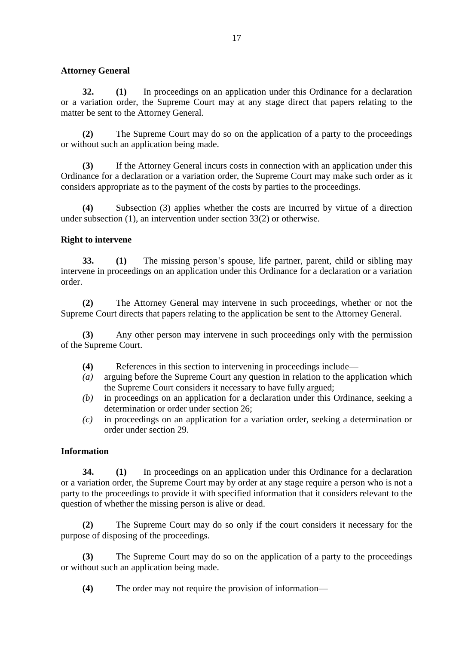#### **Attorney General**

**32. (1)** In proceedings on an application under this Ordinance for a declaration or a variation order, the Supreme Court may at any stage direct that papers relating to the matter be sent to the Attorney General.

**(2)** The Supreme Court may do so on the application of a party to the proceedings or without such an application being made.

**(3)** If the Attorney General incurs costs in connection with an application under this Ordinance for a declaration or a variation order, the Supreme Court may make such order as it considers appropriate as to the payment of the costs by parties to the proceedings.

**(4)** Subsection (3) applies whether the costs are incurred by virtue of a direction under subsection (1), an intervention under section 33(2) or otherwise.

## **Right to intervene**

**33. (1)** The missing person's spouse, life partner, parent, child or sibling may intervene in proceedings on an application under this Ordinance for a declaration or a variation order.

**(2)** The Attorney General may intervene in such proceedings, whether or not the Supreme Court directs that papers relating to the application be sent to the Attorney General.

**(3)** Any other person may intervene in such proceedings only with the permission of the Supreme Court.

- **(4)** References in this section to intervening in proceedings include—
- *(a)* arguing before the Supreme Court any question in relation to the application which the Supreme Court considers it necessary to have fully argued;
- *(b)* in proceedings on an application for a declaration under this Ordinance, seeking a determination or order under section 26;
- *(c)* in proceedings on an application for a variation order, seeking a determination or order under section 29.

#### **Information**

**34. (1)** In proceedings on an application under this Ordinance for a declaration or a variation order, the Supreme Court may by order at any stage require a person who is not a party to the proceedings to provide it with specified information that it considers relevant to the question of whether the missing person is alive or dead.

**(2)** The Supreme Court may do so only if the court considers it necessary for the purpose of disposing of the proceedings.

**(3)** The Supreme Court may do so on the application of a party to the proceedings or without such an application being made.

**(4)** The order may not require the provision of information—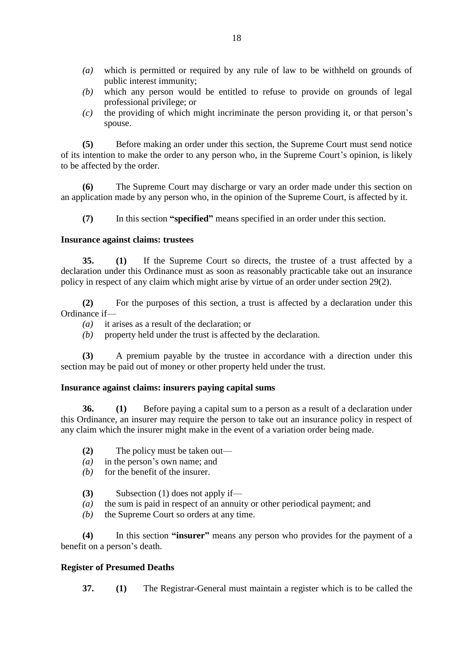- *(a)* which is permitted or required by any rule of law to be withheld on grounds of public interest immunity;
- *(b)* which any person would be entitled to refuse to provide on grounds of legal professional privilege; or
- *(c)* the providing of which might incriminate the person providing it, or that person's spouse.

**(5)** Before making an order under this section, the Supreme Court must send notice of its intention to make the order to any person who, in the Supreme Court's opinion, is likely to be affected by the order.

**(6)** The Supreme Court may discharge or vary an order made under this section on an application made by any person who, in the opinion of the Supreme Court, is affected by it.

**(7)** In this section **"specified"** means specified in an order under this section.

#### **Insurance against claims: trustees**

**35. (1)** If the Supreme Court so directs, the trustee of a trust affected by a declaration under this Ordinance must as soon as reasonably practicable take out an insurance policy in respect of any claim which might arise by virtue of an order under section 29(2).

**(2)** For the purposes of this section, a trust is affected by a declaration under this Ordinance if—

- *(a)* it arises as a result of the declaration; or
- *(b)* property held under the trust is affected by the declaration.

**(3)** A premium payable by the trustee in accordance with a direction under this section may be paid out of money or other property held under the trust.

#### **Insurance against claims: insurers paying capital sums**

**36. (1)** Before paying a capital sum to a person as a result of a declaration under this Ordinance, an insurer may require the person to take out an insurance policy in respect of any claim which the insurer might make in the event of a variation order being made.

- **(2)** The policy must be taken out—
- *(a)* in the person's own name; and
- *(b)* for the benefit of the insurer.
- **(3)** Subsection (1) does not apply if—
- *(a)* the sum is paid in respect of an annuity or other periodical payment; and
- *(b)* the Supreme Court so orders at any time.

**(4)** In this section **"insurer"** means any person who provides for the payment of a benefit on a person's death.

#### **Register of Presumed Deaths**

**37. (1)** The Registrar-General must maintain a register which is to be called the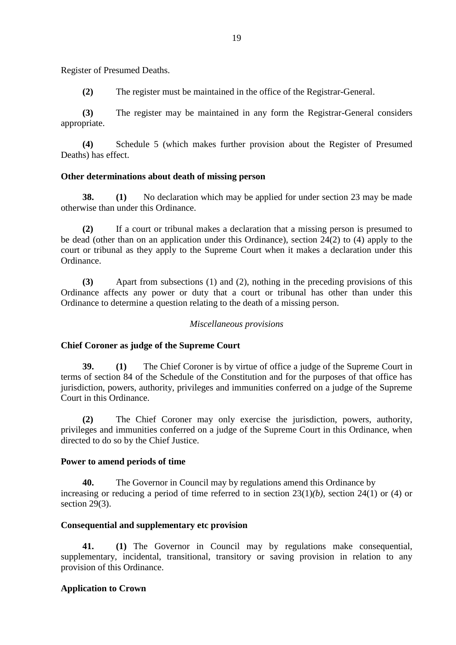Register of Presumed Deaths.

**(2)** The register must be maintained in the office of the Registrar-General.

**(3)** The register may be maintained in any form the Registrar-General considers appropriate.

**(4)** Schedule 5 (which makes further provision about the Register of Presumed Deaths) has effect.

#### **Other determinations about death of missing person**

**38. (1)** No declaration which may be applied for under section 23 may be made otherwise than under this Ordinance.

**(2)** If a court or tribunal makes a declaration that a missing person is presumed to be dead (other than on an application under this Ordinance), section 24(2) to (4) apply to the court or tribunal as they apply to the Supreme Court when it makes a declaration under this Ordinance.

**(3)** Apart from subsections (1) and (2), nothing in the preceding provisions of this Ordinance affects any power or duty that a court or tribunal has other than under this Ordinance to determine a question relating to the death of a missing person.

#### *Miscellaneous provisions*

#### **Chief Coroner as judge of the Supreme Court**

**39. (1)** The Chief Coroner is by virtue of office a judge of the Supreme Court in terms of section 84 of the Schedule of the Constitution and for the purposes of that office has jurisdiction, powers, authority, privileges and immunities conferred on a judge of the Supreme Court in this Ordinance.

**(2)** The Chief Coroner may only exercise the jurisdiction, powers, authority, privileges and immunities conferred on a judge of the Supreme Court in this Ordinance, when directed to do so by the Chief Justice.

#### **Power to amend periods of time**

**40.** The Governor in Council may by regulations amend this Ordinance by increasing or reducing a period of time referred to in section 23(1)*(b)*, section 24(1) or (4) or section 29(3).

#### **Consequential and supplementary etc provision**

**41. (1)** The Governor in Council may by regulations make consequential, supplementary, incidental, transitional, transitory or saving provision in relation to any provision of this Ordinance.

#### **Application to Crown**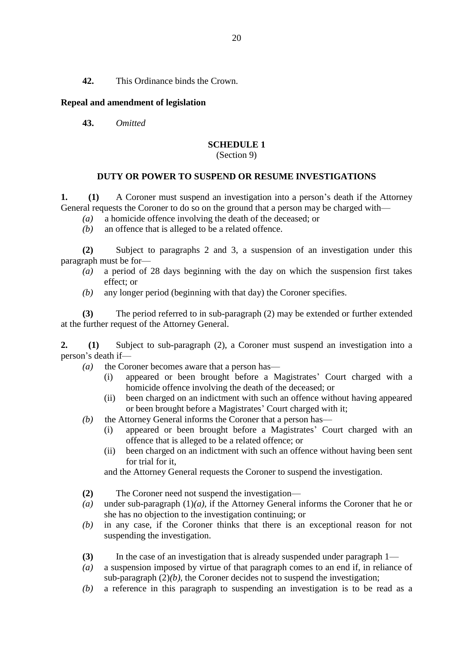**42.** This Ordinance binds the Crown.

## **Repeal and amendment of legislation**

**43.** *Omitted*

## **SCHEDULE 1**

#### (Section 9)

## **DUTY OR POWER TO SUSPEND OR RESUME INVESTIGATIONS**

**1. (1)** A Coroner must suspend an investigation into a person's death if the Attorney General requests the Coroner to do so on the ground that a person may be charged with—

- *(a)* a homicide offence involving the death of the deceased; or
- *(b)* an offence that is alleged to be a related offence.

**(2)** Subject to paragraphs 2 and 3, a suspension of an investigation under this paragraph must be for—

- *(a)* a period of 28 days beginning with the day on which the suspension first takes effect; or
- *(b)* any longer period (beginning with that day) the Coroner specifies.

**(3)** The period referred to in sub-paragraph (2) may be extended or further extended at the further request of the Attorney General.

**2. (1)** Subject to sub-paragraph (2), a Coroner must suspend an investigation into a person's death if—

- *(a)* the Coroner becomes aware that a person has—
	- (i) appeared or been brought before a Magistrates' Court charged with a homicide offence involving the death of the deceased; or
	- (ii) been charged on an indictment with such an offence without having appeared or been brought before a Magistrates' Court charged with it;
- *(b)* the Attorney General informs the Coroner that a person has—
	- (i) appeared or been brought before a Magistrates' Court charged with an offence that is alleged to be a related offence; or
	- (ii) been charged on an indictment with such an offence without having been sent for trial for it,

and the Attorney General requests the Coroner to suspend the investigation.

- **(2)** The Coroner need not suspend the investigation—
- *(a)* under sub-paragraph (1)*(a)*, if the Attorney General informs the Coroner that he or she has no objection to the investigation continuing; or
- *(b)* in any case, if the Coroner thinks that there is an exceptional reason for not suspending the investigation.
- **(3)** In the case of an investigation that is already suspended under paragraph 1—
- *(a)* a suspension imposed by virtue of that paragraph comes to an end if, in reliance of sub-paragraph (2)*(b)*, the Coroner decides not to suspend the investigation;
- *(b)* a reference in this paragraph to suspending an investigation is to be read as a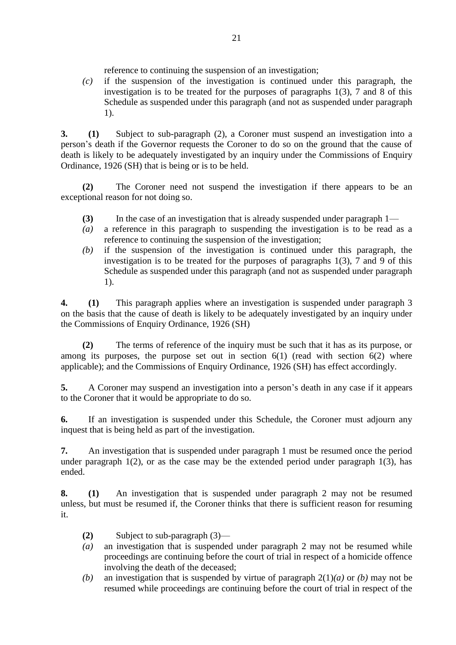reference to continuing the suspension of an investigation;

*(c)* if the suspension of the investigation is continued under this paragraph, the investigation is to be treated for the purposes of paragraphs 1(3), 7 and 8 of this Schedule as suspended under this paragraph (and not as suspended under paragraph 1).

**3. (1)** Subject to sub-paragraph (2), a Coroner must suspend an investigation into a person's death if the Governor requests the Coroner to do so on the ground that the cause of death is likely to be adequately investigated by an inquiry under the Commissions of Enquiry Ordinance, 1926 (SH) that is being or is to be held.

**(2)** The Coroner need not suspend the investigation if there appears to be an exceptional reason for not doing so.

- **(3)** In the case of an investigation that is already suspended under paragraph 1—
- *(a)* a reference in this paragraph to suspending the investigation is to be read as a reference to continuing the suspension of the investigation;
- *(b)* if the suspension of the investigation is continued under this paragraph, the investigation is to be treated for the purposes of paragraphs 1(3), 7 and 9 of this Schedule as suspended under this paragraph (and not as suspended under paragraph 1).

**4. (1)** This paragraph applies where an investigation is suspended under paragraph 3 on the basis that the cause of death is likely to be adequately investigated by an inquiry under the Commissions of Enquiry Ordinance, 1926 (SH)

**(2)** The terms of reference of the inquiry must be such that it has as its purpose, or among its purposes, the purpose set out in section  $6(1)$  (read with section  $6(2)$  where applicable); and the Commissions of Enquiry Ordinance, 1926 (SH) has effect accordingly.

**5.** A Coroner may suspend an investigation into a person's death in any case if it appears to the Coroner that it would be appropriate to do so.

**6.** If an investigation is suspended under this Schedule, the Coroner must adjourn any inquest that is being held as part of the investigation.

**7.** An investigation that is suspended under paragraph 1 must be resumed once the period under paragraph  $1(2)$ , or as the case may be the extended period under paragraph  $1(3)$ , has ended.

**8. (1)** An investigation that is suspended under paragraph 2 may not be resumed unless, but must be resumed if, the Coroner thinks that there is sufficient reason for resuming it.

- **(2)** Subject to sub-paragraph (3)—
- *(a)* an investigation that is suspended under paragraph 2 may not be resumed while proceedings are continuing before the court of trial in respect of a homicide offence involving the death of the deceased;
- *(b)* an investigation that is suspended by virtue of paragraph 2(1)*(a)* or *(b)* may not be resumed while proceedings are continuing before the court of trial in respect of the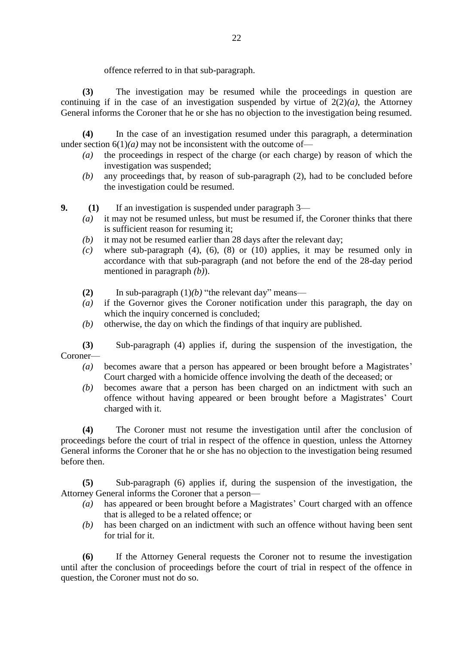offence referred to in that sub-paragraph.

**(3)** The investigation may be resumed while the proceedings in question are continuing if in the case of an investigation suspended by virtue of  $2(2)(a)$ , the Attorney General informs the Coroner that he or she has no objection to the investigation being resumed.

**(4)** In the case of an investigation resumed under this paragraph, a determination under section  $6(1)(a)$  may not be inconsistent with the outcome of-

- *(a)* the proceedings in respect of the charge (or each charge) by reason of which the investigation was suspended;
- *(b)* any proceedings that, by reason of sub-paragraph (2), had to be concluded before the investigation could be resumed.
- **9. (1)** If an investigation is suspended under paragraph 3—
	- *(a)* it may not be resumed unless, but must be resumed if, the Coroner thinks that there is sufficient reason for resuming it;
	- *(b)* it may not be resumed earlier than 28 days after the relevant day;
	- *(c)* where sub-paragraph (4), (6), (8) or (10) applies, it may be resumed only in accordance with that sub-paragraph (and not before the end of the 28-day period mentioned in paragraph *(b)*).
	- **(2)** In sub-paragraph (1)*(b)* "the relevant day" means—
	- *(a)* if the Governor gives the Coroner notification under this paragraph, the day on which the inquiry concerned is concluded;
	- *(b)* otherwise, the day on which the findings of that inquiry are published.

**(3)** Sub-paragraph (4) applies if, during the suspension of the investigation, the Coroner—

- *(a)* becomes aware that a person has appeared or been brought before a Magistrates' Court charged with a homicide offence involving the death of the deceased; or
- *(b)* becomes aware that a person has been charged on an indictment with such an offence without having appeared or been brought before a Magistrates' Court charged with it.

**(4)** The Coroner must not resume the investigation until after the conclusion of proceedings before the court of trial in respect of the offence in question, unless the Attorney General informs the Coroner that he or she has no objection to the investigation being resumed before then.

**(5)** Sub-paragraph (6) applies if, during the suspension of the investigation, the Attorney General informs the Coroner that a person—

- *(a)* has appeared or been brought before a Magistrates' Court charged with an offence that is alleged to be a related offence; or
- *(b)* has been charged on an indictment with such an offence without having been sent for trial for it.

**(6)** If the Attorney General requests the Coroner not to resume the investigation until after the conclusion of proceedings before the court of trial in respect of the offence in question, the Coroner must not do so.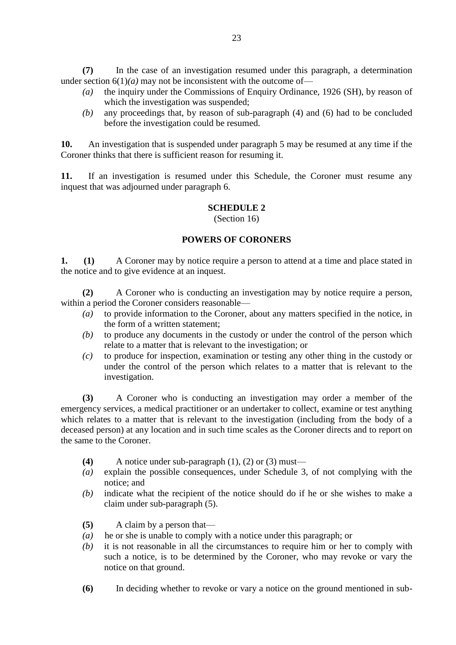**(7)** In the case of an investigation resumed under this paragraph, a determination under section  $6(1)(a)$  may not be inconsistent with the outcome of-

- *(a)* the inquiry under the Commissions of Enquiry Ordinance, 1926 (SH), by reason of which the investigation was suspended;
- *(b)* any proceedings that, by reason of sub-paragraph (4) and (6) had to be concluded before the investigation could be resumed.

**10.** An investigation that is suspended under paragraph 5 may be resumed at any time if the Coroner thinks that there is sufficient reason for resuming it.

**11.** If an investigation is resumed under this Schedule, the Coroner must resume any inquest that was adjourned under paragraph 6.

# **SCHEDULE 2**

(Section 16)

## **POWERS OF CORONERS**

**1. (1)** A Coroner may by notice require a person to attend at a time and place stated in the notice and to give evidence at an inquest.

**(2)** A Coroner who is conducting an investigation may by notice require a person, within a period the Coroner considers reasonable—

- *(a)* to provide information to the Coroner, about any matters specified in the notice, in the form of a written statement;
- *(b)* to produce any documents in the custody or under the control of the person which relate to a matter that is relevant to the investigation; or
- *(c)* to produce for inspection, examination or testing any other thing in the custody or under the control of the person which relates to a matter that is relevant to the investigation.

**(3)** A Coroner who is conducting an investigation may order a member of the emergency services, a medical practitioner or an undertaker to collect, examine or test anything which relates to a matter that is relevant to the investigation (including from the body of a deceased person) at any location and in such time scales as the Coroner directs and to report on the same to the Coroner.

- **(4)** A notice under sub-paragraph (1), (2) or (3) must—
- *(a)* explain the possible consequences, under Schedule 3, of not complying with the notice; and
- *(b)* indicate what the recipient of the notice should do if he or she wishes to make a claim under sub-paragraph (5).
- **(5)** A claim by a person that—
- *(a)* he or she is unable to comply with a notice under this paragraph; or
- *(b)* it is not reasonable in all the circumstances to require him or her to comply with such a notice, is to be determined by the Coroner, who may revoke or vary the notice on that ground.
- **(6)** In deciding whether to revoke or vary a notice on the ground mentioned in sub-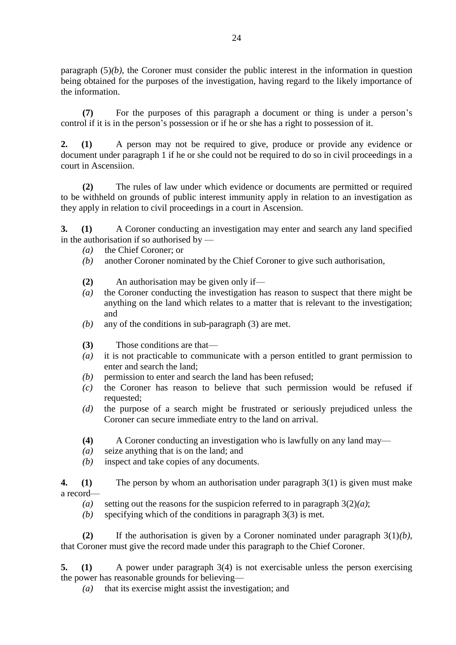paragraph (5)*(b)*, the Coroner must consider the public interest in the information in question being obtained for the purposes of the investigation, having regard to the likely importance of the information.

**(7)** For the purposes of this paragraph a document or thing is under a person's control if it is in the person's possession or if he or she has a right to possession of it.

**2. (1)** A person may not be required to give, produce or provide any evidence or document under paragraph 1 if he or she could not be required to do so in civil proceedings in a court in Ascensiion.

**(2)** The rules of law under which evidence or documents are permitted or required to be withheld on grounds of public interest immunity apply in relation to an investigation as they apply in relation to civil proceedings in a court in Ascension.

**3. (1)** A Coroner conducting an investigation may enter and search any land specified in the authorisation if so authorised by —

- *(a)* the Chief Coroner; or
- *(b)* another Coroner nominated by the Chief Coroner to give such authorisation,
- **(2)** An authorisation may be given only if—
- *(a)* the Coroner conducting the investigation has reason to suspect that there might be anything on the land which relates to a matter that is relevant to the investigation; and
- *(b)* any of the conditions in sub-paragraph (3) are met.
- **(3)** Those conditions are that—
- *(a)* it is not practicable to communicate with a person entitled to grant permission to enter and search the land;
- *(b)* permission to enter and search the land has been refused;
- *(c)* the Coroner has reason to believe that such permission would be refused if requested;
- *(d)* the purpose of a search might be frustrated or seriously prejudiced unless the Coroner can secure immediate entry to the land on arrival.
- **(4)** A Coroner conducting an investigation who is lawfully on any land may—
- *(a)* seize anything that is on the land; and
- *(b)* inspect and take copies of any documents.
- **4. (1)** The person by whom an authorisation under paragraph 3(1) is given must make a record—
	- (a) setting out the reasons for the suspicion referred to in paragraph  $3(2)(a)$ ;
	- *(b)* specifying which of the conditions in paragraph 3(3) is met.

**(2)** If the authorisation is given by a Coroner nominated under paragraph 3(1)*(b)*, that Coroner must give the record made under this paragraph to the Chief Coroner.

**5. (1)** A power under paragraph 3(4) is not exercisable unless the person exercising the power has reasonable grounds for believing—

*(a)* that its exercise might assist the investigation; and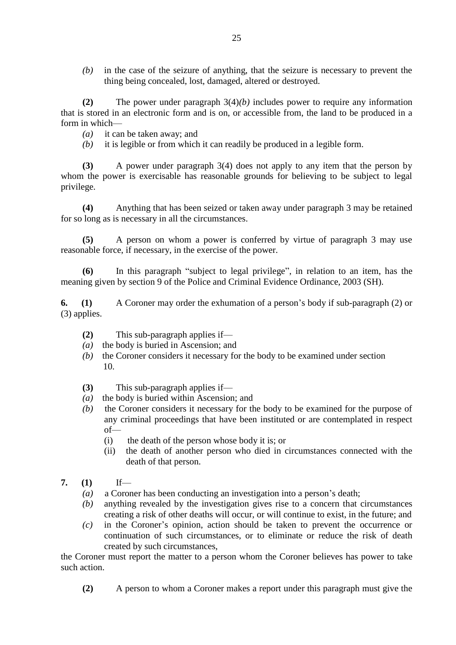*(b)* in the case of the seizure of anything, that the seizure is necessary to prevent the thing being concealed, lost, damaged, altered or destroyed.

**(2)** The power under paragraph 3(4)*(b)* includes power to require any information that is stored in an electronic form and is on, or accessible from, the land to be produced in a form in which—

*(a)* it can be taken away; and

*(b)* it is legible or from which it can readily be produced in a legible form.

**(3)** A power under paragraph 3(4) does not apply to any item that the person by whom the power is exercisable has reasonable grounds for believing to be subject to legal privilege.

**(4)** Anything that has been seized or taken away under paragraph 3 may be retained for so long as is necessary in all the circumstances.

**(5)** A person on whom a power is conferred by virtue of paragraph 3 may use reasonable force, if necessary, in the exercise of the power.

**(6)** In this paragraph "subject to legal privilege", in relation to an item, has the meaning given by section 9 of the Police and Criminal Evidence Ordinance, 2003 (SH).

**6. (1)** A Coroner may order the exhumation of a person's body if sub-paragraph (2) or (3) applies.

- **(2)** This sub-paragraph applies if—
- *(a)* the body is buried in Ascension; and
- *(b)* the Coroner considers it necessary for the body to be examined under section 10.
- **(3)** This sub-paragraph applies if—
- *(a)* the body is buried within Ascension; and
- *(b)* the Coroner considers it necessary for the body to be examined for the purpose of any criminal proceedings that have been instituted or are contemplated in respect of—
	- (i) the death of the person whose body it is; or
	- (ii) the death of another person who died in circumstances connected with the death of that person.
- **7. (1)** If—
	- *(a)* a Coroner has been conducting an investigation into a person's death;
	- *(b)* anything revealed by the investigation gives rise to a concern that circumstances creating a risk of other deaths will occur, or will continue to exist, in the future; and
	- *(c)* in the Coroner's opinion, action should be taken to prevent the occurrence or continuation of such circumstances, or to eliminate or reduce the risk of death created by such circumstances,

the Coroner must report the matter to a person whom the Coroner believes has power to take such action.

**(2)** A person to whom a Coroner makes a report under this paragraph must give the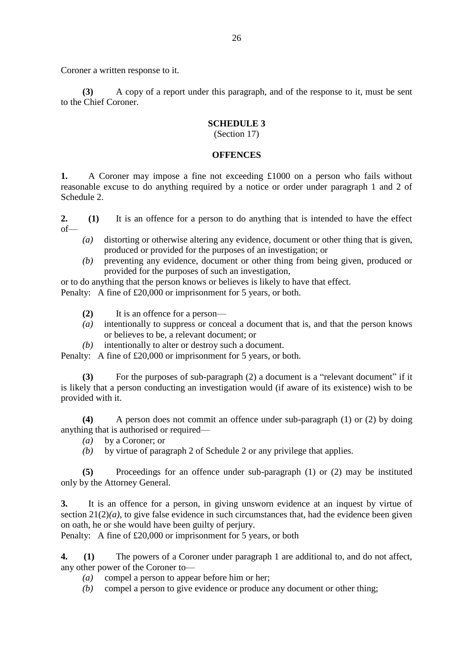Coroner a written response to it.

**(3)** A copy of a report under this paragraph, and of the response to it, must be sent to the Chief Coroner.

## **SCHEDULE 3**

(Section 17)

#### **OFFENCES**

**1.** A Coroner may impose a fine not exceeding £1000 on a person who fails without reasonable excuse to do anything required by a notice or order under paragraph 1 and 2 of Schedule 2.

**2. (1)** It is an offence for a person to do anything that is intended to have the effect of—

- *(a)* distorting or otherwise altering any evidence, document or other thing that is given, produced or provided for the purposes of an investigation; or
- *(b)* preventing any evidence, document or other thing from being given, produced or provided for the purposes of such an investigation,

or to do anything that the person knows or believes is likely to have that effect. Penalty: A fine of £20,000 or imprisonment for 5 years, or both.

- **(2)** It is an offence for a person—
- *(a)* intentionally to suppress or conceal a document that is, and that the person knows or believes to be, a relevant document; or
- *(b)* intentionally to alter or destroy such a document.

Penalty: A fine of £20,000 or imprisonment for 5 years, or both.

**(3)** For the purposes of sub-paragraph (2) a document is a "relevant document" if it is likely that a person conducting an investigation would (if aware of its existence) wish to be provided with it.

**(4)** A person does not commit an offence under sub-paragraph (1) or (2) by doing anything that is authorised or required—

- *(a)* by a Coroner; or
- *(b)* by virtue of paragraph 2 of Schedule 2 or any privilege that applies.

**(5)** Proceedings for an offence under sub-paragraph (1) or (2) may be instituted only by the Attorney General.

**3.** It is an offence for a person, in giving unsworn evidence at an inquest by virtue of section  $21(2)(a)$ , to give false evidence in such circumstances that, had the evidence been given on oath, he or she would have been guilty of perjury.

Penalty: A fine of £20,000 or imprisonment for 5 years, or both

**4. (1)** The powers of a Coroner under paragraph 1 are additional to, and do not affect, any other power of the Coroner to—

- *(a)* compel a person to appear before him or her;
- *(b)* compel a person to give evidence or produce any document or other thing;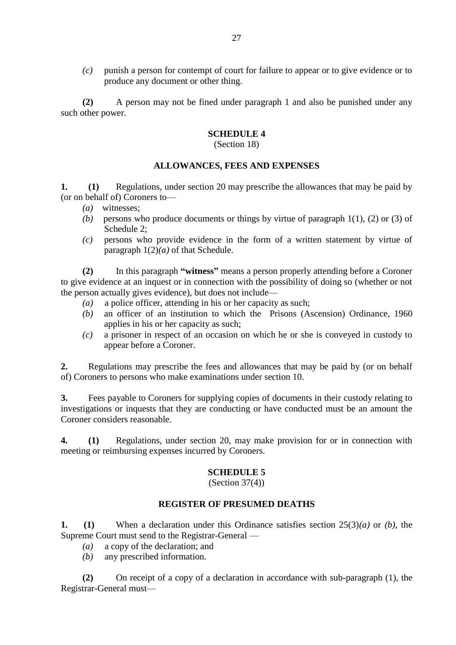*(c)* punish a person for contempt of court for failure to appear or to give evidence or to produce any document or other thing.

**(2)** A person may not be fined under paragraph 1 and also be punished under any such other power.

#### **SCHEDULE 4**

#### (Section 18)

#### **ALLOWANCES, FEES AND EXPENSES**

**1. (1)** Regulations, under section 20 may prescribe the allowances that may be paid by (or on behalf of) Coroners to—

- *(a)* witnesses;
- *(b)* persons who produce documents or things by virtue of paragraph 1(1), (2) or (3) of Schedule 2;
- *(c)* persons who provide evidence in the form of a written statement by virtue of paragraph  $1(2)(a)$  of that Schedule.

**(2)** In this paragraph **"witness"** means a person properly attending before a Coroner to give evidence at an inquest or in connection with the possibility of doing so (whether or not the person actually gives evidence), but does not include—

- *(a)* a police officer, attending in his or her capacity as such;
- *(b)* an officer of an institution to which the Prisons (Ascension) Ordinance, 1960 applies in his or her capacity as such;
- *(c)* a prisoner in respect of an occasion on which he or she is conveyed in custody to appear before a Coroner.

**2.** Regulations may prescribe the fees and allowances that may be paid by (or on behalf of) Coroners to persons who make examinations under section 10.

**3.** Fees payable to Coroners for supplying copies of documents in their custody relating to investigations or inquests that they are conducting or have conducted must be an amount the Coroner considers reasonable.

**4. (1)** Regulations, under section 20, may make provision for or in connection with meeting or reimbursing expenses incurred by Coroners.

#### **SCHEDULE 5**

(Section 37(4))

#### **REGISTER OF PRESUMED DEATHS**

**1. (1)** When a declaration under this Ordinance satisfies section 25(3)*(a)* or *(b)*, the Supreme Court must send to the Registrar-General —

- *(a)* a copy of the declaration; and
- *(b)* any prescribed information.

**(2)** On receipt of a copy of a declaration in accordance with sub-paragraph (1), the Registrar-General must—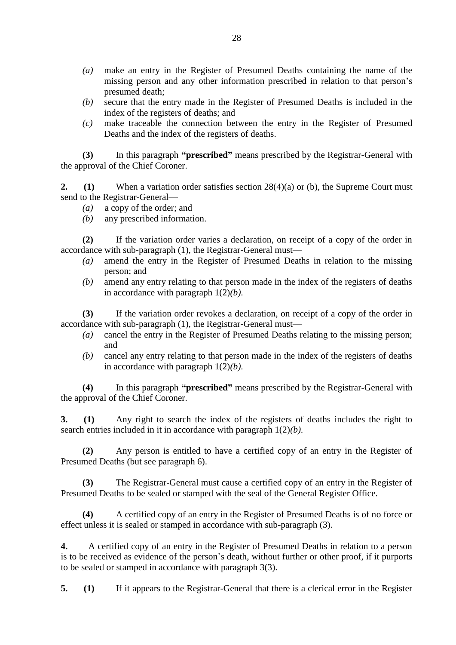- *(a)* make an entry in the Register of Presumed Deaths containing the name of the missing person and any other information prescribed in relation to that person's presumed death;
- *(b)* secure that the entry made in the Register of Presumed Deaths is included in the index of the registers of deaths; and
- *(c)* make traceable the connection between the entry in the Register of Presumed Deaths and the index of the registers of deaths.

**(3)** In this paragraph **"prescribed"** means prescribed by the Registrar-General with the approval of the Chief Coroner.

**2.** (1) When a variation order satisfies section 28(4)(a) or (b), the Supreme Court must send to the Registrar-General—

- *(a)* a copy of the order; and
- *(b)* any prescribed information.

**(2)** If the variation order varies a declaration, on receipt of a copy of the order in accordance with sub-paragraph (1), the Registrar-General must—

- *(a)* amend the entry in the Register of Presumed Deaths in relation to the missing person; and
- *(b)* amend any entry relating to that person made in the index of the registers of deaths in accordance with paragraph 1(2)*(b)*.

**(3)** If the variation order revokes a declaration, on receipt of a copy of the order in accordance with sub-paragraph (1), the Registrar-General must—

- *(a)* cancel the entry in the Register of Presumed Deaths relating to the missing person; and
- *(b)* cancel any entry relating to that person made in the index of the registers of deaths in accordance with paragraph 1(2)*(b)*.

**(4)** In this paragraph **"prescribed"** means prescribed by the Registrar-General with the approval of the Chief Coroner.

**3. (1)** Any right to search the index of the registers of deaths includes the right to search entries included in it in accordance with paragraph 1(2)*(b)*.

**(2)** Any person is entitled to have a certified copy of an entry in the Register of Presumed Deaths (but see paragraph 6).

**(3)** The Registrar-General must cause a certified copy of an entry in the Register of Presumed Deaths to be sealed or stamped with the seal of the General Register Office.

**(4)** A certified copy of an entry in the Register of Presumed Deaths is of no force or effect unless it is sealed or stamped in accordance with sub-paragraph (3).

**4.** A certified copy of an entry in the Register of Presumed Deaths in relation to a person is to be received as evidence of the person's death, without further or other proof, if it purports to be sealed or stamped in accordance with paragraph 3(3).

**5. (1)** If it appears to the Registrar-General that there is a clerical error in the Register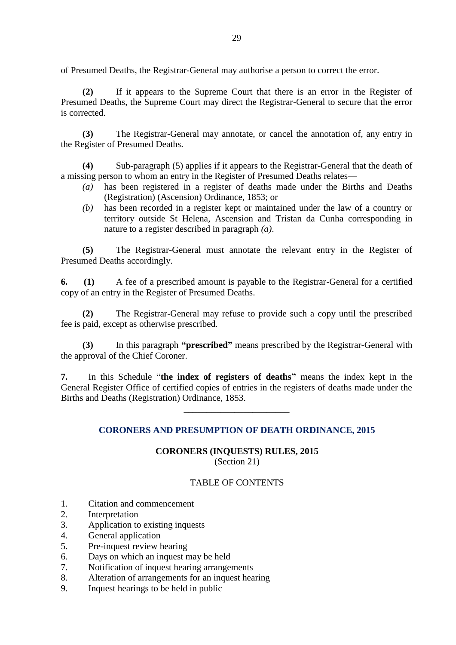of Presumed Deaths, the Registrar-General may authorise a person to correct the error.

**(2)** If it appears to the Supreme Court that there is an error in the Register of Presumed Deaths, the Supreme Court may direct the Registrar-General to secure that the error is corrected.

**(3)** The Registrar-General may annotate, or cancel the annotation of, any entry in the Register of Presumed Deaths.

**(4)** Sub-paragraph (5) applies if it appears to the Registrar-General that the death of a missing person to whom an entry in the Register of Presumed Deaths relates—

- *(a)* has been registered in a register of deaths made under the Births and Deaths (Registration) (Ascension) Ordinance, 1853; or
- *(b)* has been recorded in a register kept or maintained under the law of a country or territory outside St Helena, Ascension and Tristan da Cunha corresponding in nature to a register described in paragraph *(a)*.

**(5)** The Registrar-General must annotate the relevant entry in the Register of Presumed Deaths accordingly.

**6. (1)** A fee of a prescribed amount is payable to the Registrar-General for a certified copy of an entry in the Register of Presumed Deaths.

**(2)** The Registrar-General may refuse to provide such a copy until the prescribed fee is paid, except as otherwise prescribed.

**(3)** In this paragraph **"prescribed"** means prescribed by the Registrar-General with the approval of the Chief Coroner.

**7.** In this Schedule "**the index of registers of deaths"** means the index kept in the General Register Office of certified copies of entries in the registers of deaths made under the Births and Deaths (Registration) Ordinance, 1853.

\_\_\_\_\_\_\_\_\_\_\_\_\_\_\_\_\_\_\_\_\_\_\_

# **CORONERS AND PRESUMPTION OF DEATH ORDINANCE, 2015**

#### **CORONERS (INQUESTS) RULES, 2015** (Section 21)

# TABLE OF CONTENTS

- 1. Citation and commencement
- 2. Interpretation
- 3. Application to existing inquests
- 4. General application
- 5. Pre-inquest review hearing
- 6. Days on which an inquest may be held
- 7. Notification of inquest hearing arrangements
- 8. Alteration of arrangements for an inquest hearing
- 9. Inquest hearings to be held in public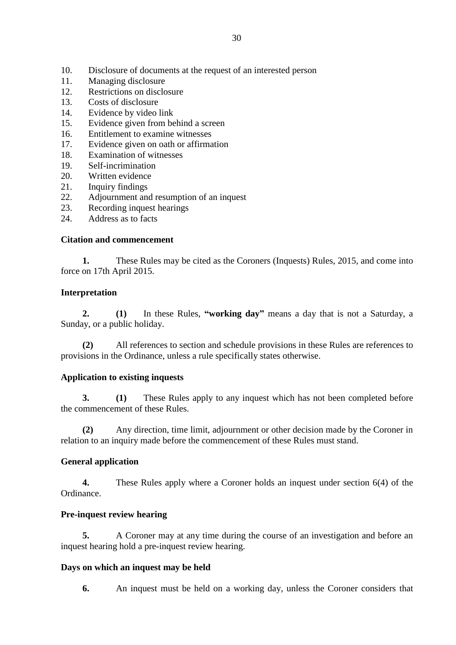- 10. Disclosure of documents at the request of an interested person<br>11. Managing disclosure
- Managing disclosure
- 12. Restrictions on disclosure
- 13. Costs of disclosure
- 14. Evidence by video link
- 15. Evidence given from behind a screen
- 16. Entitlement to examine witnesses
- 17. Evidence given on oath or affirmation
- 18. Examination of witnesses
- 19. Self-incrimination
- 20. Written evidence
- 21. Inquiry findings
- 22. Adjournment and resumption of an inquest
- 23. Recording inquest hearings
- 24. Address as to facts

#### **Citation and commencement**

**1.** These Rules may be cited as the Coroners (Inquests) Rules, 2015, and come into force on 17th April 2015.

## **Interpretation**

**2. (1)** In these Rules, **"working day"** means a day that is not a Saturday, a Sunday, or a public holiday.

**(2)** All references to section and schedule provisions in these Rules are references to provisions in the Ordinance, unless a rule specifically states otherwise.

#### **Application to existing inquests**

**3. (1)** These Rules apply to any inquest which has not been completed before the commencement of these Rules.

**(2)** Any direction, time limit, adjournment or other decision made by the Coroner in relation to an inquiry made before the commencement of these Rules must stand.

#### **General application**

**4.** These Rules apply where a Coroner holds an inquest under section 6(4) of the Ordinance.

#### **Pre-inquest review hearing**

**5.** A Coroner may at any time during the course of an investigation and before an inquest hearing hold a pre-inquest review hearing.

#### **Days on which an inquest may be held**

**6.** An inquest must be held on a working day, unless the Coroner considers that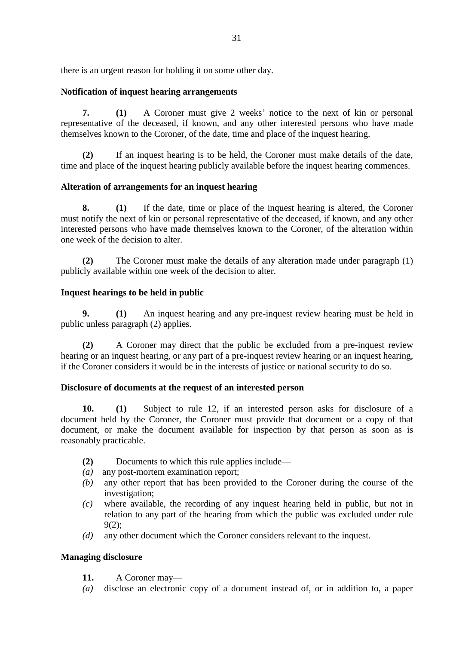there is an urgent reason for holding it on some other day.

## **Notification of inquest hearing arrangements**

**7. (1)** A Coroner must give 2 weeks' notice to the next of kin or personal representative of the deceased, if known, and any other interested persons who have made themselves known to the Coroner, of the date, time and place of the inquest hearing.

**(2)** If an inquest hearing is to be held, the Coroner must make details of the date, time and place of the inquest hearing publicly available before the inquest hearing commences.

## **Alteration of arrangements for an inquest hearing**

**8. (1)** If the date, time or place of the inquest hearing is altered, the Coroner must notify the next of kin or personal representative of the deceased, if known, and any other interested persons who have made themselves known to the Coroner, of the alteration within one week of the decision to alter.

**(2)** The Coroner must make the details of any alteration made under paragraph (1) publicly available within one week of the decision to alter.

## **Inquest hearings to be held in public**

**9. (1)** An inquest hearing and any pre-inquest review hearing must be held in public unless paragraph (2) applies.

**(2)** A Coroner may direct that the public be excluded from a pre-inquest review hearing or an inquest hearing, or any part of a pre-inquest review hearing or an inquest hearing, if the Coroner considers it would be in the interests of justice or national security to do so.

# **Disclosure of documents at the request of an interested person**

**10. (1)** Subject to rule 12, if an interested person asks for disclosure of a document held by the Coroner, the Coroner must provide that document or a copy of that document, or make the document available for inspection by that person as soon as is reasonably practicable.

- **(2)** Documents to which this rule applies include—
- *(a)* any post-mortem examination report;
- *(b)* any other report that has been provided to the Coroner during the course of the investigation;
- *(c)* where available, the recording of any inquest hearing held in public, but not in relation to any part of the hearing from which the public was excluded under rule 9(2);
- *(d)* any other document which the Coroner considers relevant to the inquest.

# **Managing disclosure**

- **11.** A Coroner may—
- *(a)* disclose an electronic copy of a document instead of, or in addition to, a paper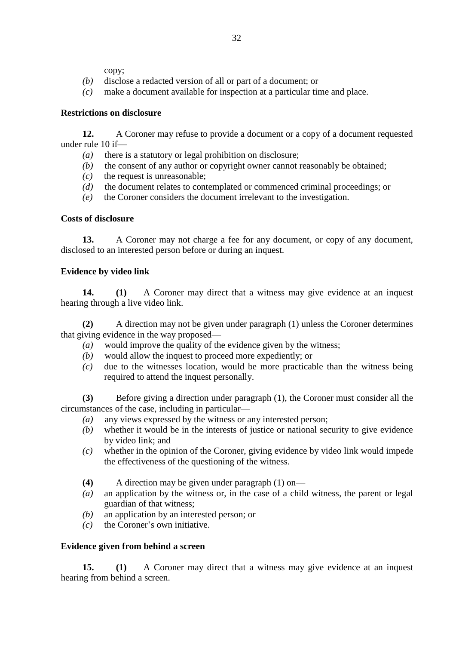copy;

- *(b)* disclose a redacted version of all or part of a document; or
- *(c)* make a document available for inspection at a particular time and place.

## **Restrictions on disclosure**

**12.** A Coroner may refuse to provide a document or a copy of a document requested under rule 10 if—

- *(a)* there is a statutory or legal prohibition on disclosure;
- *(b)* the consent of any author or copyright owner cannot reasonably be obtained;
- $(c)$  the request is unreasonable;
- *(d)* the document relates to contemplated or commenced criminal proceedings; or
- *(e)* the Coroner considers the document irrelevant to the investigation.

## **Costs of disclosure**

**13.** A Coroner may not charge a fee for any document, or copy of any document, disclosed to an interested person before or during an inquest.

# **Evidence by video link**

**14. (1)** A Coroner may direct that a witness may give evidence at an inquest hearing through a live video link.

**(2)** A direction may not be given under paragraph (1) unless the Coroner determines that giving evidence in the way proposed—

- *(a)* would improve the quality of the evidence given by the witness;
- *(b)* would allow the inquest to proceed more expediently; or
- *(c)* due to the witnesses location, would be more practicable than the witness being required to attend the inquest personally.

**(3)** Before giving a direction under paragraph (1), the Coroner must consider all the circumstances of the case, including in particular—

- *(a)* any views expressed by the witness or any interested person;
- *(b)* whether it would be in the interests of justice or national security to give evidence by video link; and
- *(c)* whether in the opinion of the Coroner, giving evidence by video link would impede the effectiveness of the questioning of the witness.
- **(4)** A direction may be given under paragraph (1) on—
- *(a)* an application by the witness or, in the case of a child witness, the parent or legal guardian of that witness;
- *(b)* an application by an interested person; or
- *(c)* the Coroner's own initiative.

# **Evidence given from behind a screen**

**15. (1)** A Coroner may direct that a witness may give evidence at an inquest hearing from behind a screen.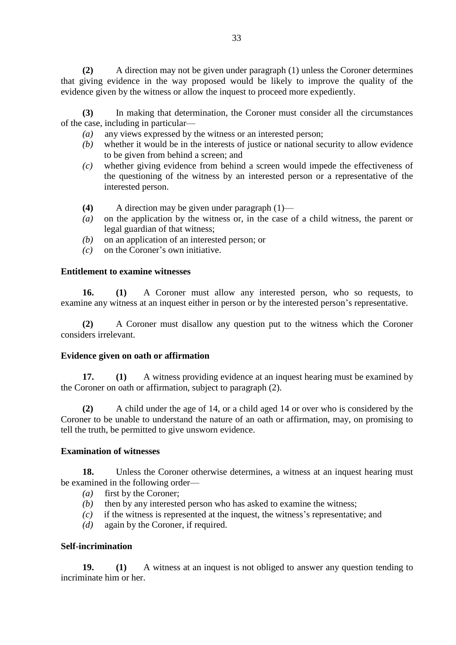**(2)** A direction may not be given under paragraph (1) unless the Coroner determines that giving evidence in the way proposed would be likely to improve the quality of the evidence given by the witness or allow the inquest to proceed more expediently.

**(3)** In making that determination, the Coroner must consider all the circumstances of the case, including in particular—

- *(a)* any views expressed by the witness or an interested person;
- *(b)* whether it would be in the interests of justice or national security to allow evidence to be given from behind a screen; and
- *(c)* whether giving evidence from behind a screen would impede the effectiveness of the questioning of the witness by an interested person or a representative of the interested person.
- **(4)** A direction may be given under paragraph (1)—
- *(a)* on the application by the witness or, in the case of a child witness, the parent or legal guardian of that witness;
- *(b)* on an application of an interested person; or
- *(c)* on the Coroner's own initiative.

#### **Entitlement to examine witnesses**

**16. (1)** A Coroner must allow any interested person, who so requests, to examine any witness at an inquest either in person or by the interested person's representative.

**(2)** A Coroner must disallow any question put to the witness which the Coroner considers irrelevant.

#### **Evidence given on oath or affirmation**

**17. (1)** A witness providing evidence at an inquest hearing must be examined by the Coroner on oath or affirmation, subject to paragraph (2).

**(2)** A child under the age of 14, or a child aged 14 or over who is considered by the Coroner to be unable to understand the nature of an oath or affirmation, may, on promising to tell the truth, be permitted to give unsworn evidence.

#### **Examination of witnesses**

**18.** Unless the Coroner otherwise determines, a witness at an inquest hearing must be examined in the following order—

- *(a)* first by the Coroner;
- *(b)* then by any interested person who has asked to examine the witness;
- *(c)* if the witness is represented at the inquest, the witness's representative; and
- *(d)* again by the Coroner, if required.

#### **Self-incrimination**

**19. (1)** A witness at an inquest is not obliged to answer any question tending to incriminate him or her.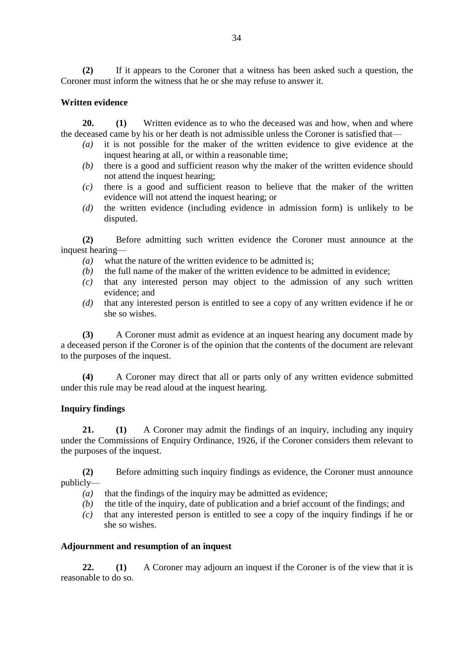**(2)** If it appears to the Coroner that a witness has been asked such a question, the Coroner must inform the witness that he or she may refuse to answer it.

#### **Written evidence**

**20. (1)** Written evidence as to who the deceased was and how, when and where the deceased came by his or her death is not admissible unless the Coroner is satisfied that—

- *(a)* it is not possible for the maker of the written evidence to give evidence at the inquest hearing at all, or within a reasonable time;
- *(b)* there is a good and sufficient reason why the maker of the written evidence should not attend the inquest hearing;
- *(c)* there is a good and sufficient reason to believe that the maker of the written evidence will not attend the inquest hearing; or
- *(d)* the written evidence (including evidence in admission form) is unlikely to be disputed.

**(2)** Before admitting such written evidence the Coroner must announce at the inquest hearing—

- *(a)* what the nature of the written evidence to be admitted is;
- *(b)* the full name of the maker of the written evidence to be admitted in evidence;
- *(c)* that any interested person may object to the admission of any such written evidence; and
- *(d)* that any interested person is entitled to see a copy of any written evidence if he or she so wishes.

**(3)** A Coroner must admit as evidence at an inquest hearing any document made by a deceased person if the Coroner is of the opinion that the contents of the document are relevant to the purposes of the inquest.

**(4)** A Coroner may direct that all or parts only of any written evidence submitted under this rule may be read aloud at the inquest hearing.

#### **Inquiry findings**

**21. (1)** A Coroner may admit the findings of an inquiry, including any inquiry under the Commissions of Enquiry Ordinance, 1926, if the Coroner considers them relevant to the purposes of the inquest.

**(2)** Before admitting such inquiry findings as evidence, the Coroner must announce publicly—

- *(a)* that the findings of the inquiry may be admitted as evidence;
- *(b)* the title of the inquiry, date of publication and a brief account of the findings; and
- *(c)* that any interested person is entitled to see a copy of the inquiry findings if he or she so wishes.

#### **Adjournment and resumption of an inquest**

**22. (1)** A Coroner may adjourn an inquest if the Coroner is of the view that it is reasonable to do so.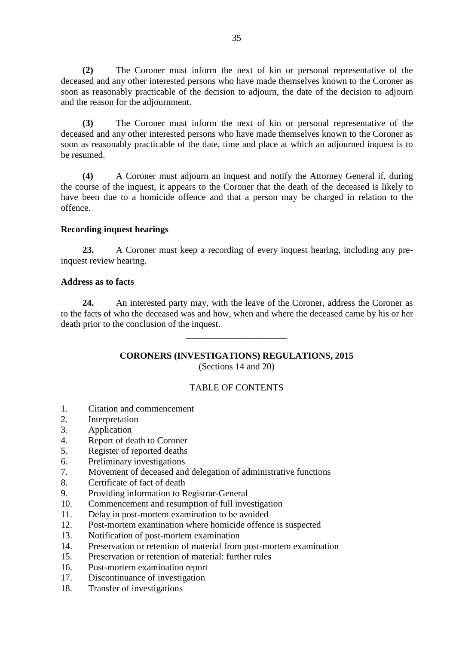**(2)** The Coroner must inform the next of kin or personal representative of the deceased and any other interested persons who have made themselves known to the Coroner as soon as reasonably practicable of the decision to adjourn, the date of the decision to adjourn and the reason for the adjournment.

**(3)** The Coroner must inform the next of kin or personal representative of the deceased and any other interested persons who have made themselves known to the Coroner as soon as reasonably practicable of the date, time and place at which an adjourned inquest is to be resumed.

**(4)** A Coroner must adjourn an inquest and notify the Attorney General if, during the course of the inquest, it appears to the Coroner that the death of the deceased is likely to have been due to a homicide offence and that a person may be charged in relation to the offence.

#### **Recording inquest hearings**

**23.** A Coroner must keep a recording of every inquest hearing, including any preinquest review hearing.

#### **Address as to facts**

**24.** An interested party may, with the leave of the Coroner, address the Coroner as to the facts of who the deceased was and how, when and where the deceased came by his or her death prior to the conclusion of the inquest.

\_\_\_\_\_\_\_\_\_\_\_\_\_\_\_\_\_\_\_\_\_\_

## **CORONERS (INVESTIGATIONS) REGULATIONS, 2015** (Sections 14 and 20)

# TABLE OF CONTENTS

- 1. Citation and commencement
- 2. Interpretation
- 3. Application
- 4. Report of death to Coroner
- 5. Register of reported deaths
- 6. Preliminary investigations
- 7. Movement of deceased and delegation of administrative functions
- 8. Certificate of fact of death
- 9. Providing information to Registrar-General
- 10. Commencement and resumption of full investigation
- 11. Delay in post-mortem examination to be avoided
- 12. Post-mortem examination where homicide offence is suspected
- 13. Notification of post-mortem examination
- 14. Preservation or retention of material from post-mortem examination
- 15. Preservation or retention of material: further rules
- 16. Post-mortem examination report
- 17. Discontinuance of investigation
- 18. Transfer of investigations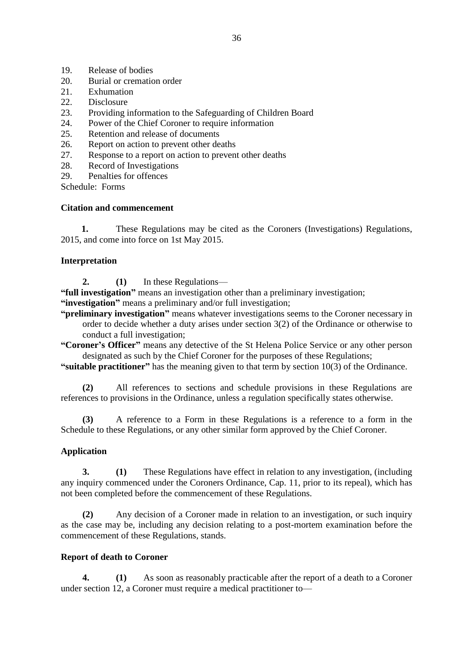- 19. Release of bodies<br>20. Burial or crematic
- Burial or cremation order
- 21. Exhumation
- 22. Disclosure
- 23. Providing information to the Safeguarding of Children Board
- 24. Power of the Chief Coroner to require information
- 25. Retention and release of documents
- 26. Report on action to prevent other deaths
- 27. Response to a report on action to prevent other deaths
- 28. Record of Investigations
- 29. Penalties for offences

Schedule: Forms

## **Citation and commencement**

 **1.** These Regulations may be cited as the Coroners (Investigations) Regulations, 2015, and come into force on 1st May 2015.

## **Interpretation**

**2. (1)** In these Regulations—

**"full investigation"** means an investigation other than a preliminary investigation;

**"investigation"** means a preliminary and/or full investigation;

**"preliminary investigation"** means whatever investigations seems to the Coroner necessary in order to decide whether a duty arises under section 3(2) of the Ordinance or otherwise to conduct a full investigation;

**"Coroner's Officer"** means any detective of the St Helena Police Service or any other person designated as such by the Chief Coroner for the purposes of these Regulations;

**"suitable practitioner"** has the meaning given to that term by section 10(3) of the Ordinance.

**(2)** All references to sections and schedule provisions in these Regulations are references to provisions in the Ordinance, unless a regulation specifically states otherwise.

**(3)** A reference to a Form in these Regulations is a reference to a form in the Schedule to these Regulations, or any other similar form approved by the Chief Coroner.

# **Application**

**3. (1)** These Regulations have effect in relation to any investigation, (including any inquiry commenced under the Coroners Ordinance, Cap. 11, prior to its repeal), which has not been completed before the commencement of these Regulations.

**(2)** Any decision of a Coroner made in relation to an investigation, or such inquiry as the case may be, including any decision relating to a post-mortem examination before the commencement of these Regulations, stands.

# **Report of death to Coroner**

**4. (1)** As soon as reasonably practicable after the report of a death to a Coroner under section 12, a Coroner must require a medical practitioner to—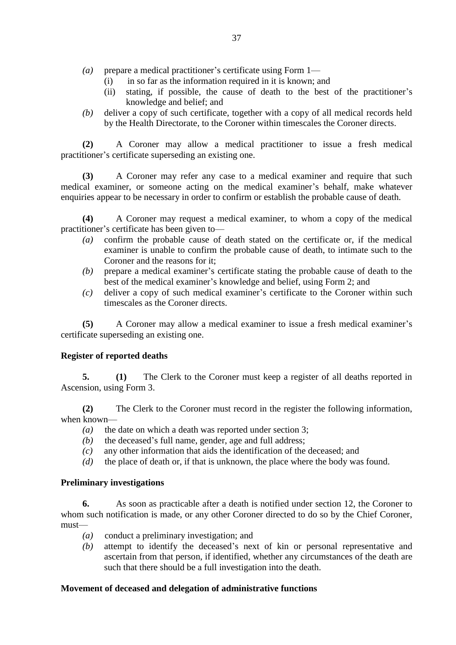- *(a)* prepare a medical practitioner's certificate using Form 1—
	- (i) in so far as the information required in it is known; and
	- (ii) stating, if possible, the cause of death to the best of the practitioner's knowledge and belief; and
- *(b)* deliver a copy of such certificate, together with a copy of all medical records held by the Health Directorate, to the Coroner within timescales the Coroner directs.

**(2)** A Coroner may allow a medical practitioner to issue a fresh medical practitioner's certificate superseding an existing one.

**(3)** A Coroner may refer any case to a medical examiner and require that such medical examiner, or someone acting on the medical examiner's behalf, make whatever enquiries appear to be necessary in order to confirm or establish the probable cause of death.

**(4)** A Coroner may request a medical examiner, to whom a copy of the medical practitioner's certificate has been given to—

- *(a)* confirm the probable cause of death stated on the certificate or, if the medical examiner is unable to confirm the probable cause of death, to intimate such to the Coroner and the reasons for it;
- *(b)* prepare a medical examiner's certificate stating the probable cause of death to the best of the medical examiner's knowledge and belief, using Form 2; and
- *(c)* deliver a copy of such medical examiner's certificate to the Coroner within such timescales as the Coroner directs.

**(5)** A Coroner may allow a medical examiner to issue a fresh medical examiner's certificate superseding an existing one.

#### **Register of reported deaths**

**5. (1)** The Clerk to the Coroner must keep a register of all deaths reported in Ascension, using Form 3.

**(2)** The Clerk to the Coroner must record in the register the following information, when known—

- *(a)* the date on which a death was reported under section 3;
- *(b)* the deceased's full name, gender, age and full address;
- *(c)* any other information that aids the identification of the deceased; and
- *(d)* the place of death or, if that is unknown, the place where the body was found.

#### **Preliminary investigations**

**6.** As soon as practicable after a death is notified under section 12, the Coroner to whom such notification is made, or any other Coroner directed to do so by the Chief Coroner, must—

- *(a)* conduct a preliminary investigation; and
- *(b)* attempt to identify the deceased's next of kin or personal representative and ascertain from that person, if identified, whether any circumstances of the death are such that there should be a full investigation into the death.

# **Movement of deceased and delegation of administrative functions**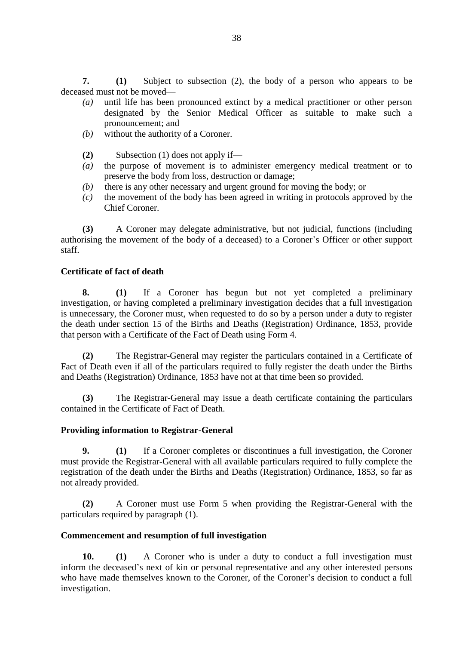**7. (1)** Subject to subsection (2), the body of a person who appears to be deceased must not be moved—

- *(a)* until life has been pronounced extinct by a medical practitioner or other person designated by the Senior Medical Officer as suitable to make such a pronouncement; and
- *(b)* without the authority of a Coroner.
- **(2)** Subsection (1) does not apply if—
- *(a)* the purpose of movement is to administer emergency medical treatment or to preserve the body from loss, destruction or damage;
- *(b)* there is any other necessary and urgent ground for moving the body; or
- *(c)* the movement of the body has been agreed in writing in protocols approved by the Chief Coroner.

**(3)** A Coroner may delegate administrative, but not judicial, functions (including authorising the movement of the body of a deceased) to a Coroner's Officer or other support staff.

#### **Certificate of fact of death**

**8. (1)** If a Coroner has begun but not yet completed a preliminary investigation, or having completed a preliminary investigation decides that a full investigation is unnecessary, the Coroner must, when requested to do so by a person under a duty to register the death under section 15 of the Births and Deaths (Registration) Ordinance, 1853, provide that person with a Certificate of the Fact of Death using Form 4.

**(2)** The Registrar-General may register the particulars contained in a Certificate of Fact of Death even if all of the particulars required to fully register the death under the Births and Deaths (Registration) Ordinance, 1853 have not at that time been so provided.

**(3)** The Registrar-General may issue a death certificate containing the particulars contained in the Certificate of Fact of Death.

#### **Providing information to Registrar-General**

**9. (1)** If a Coroner completes or discontinues a full investigation, the Coroner must provide the Registrar-General with all available particulars required to fully complete the registration of the death under the Births and Deaths (Registration) Ordinance, 1853, so far as not already provided.

**(2)** A Coroner must use Form 5 when providing the Registrar-General with the particulars required by paragraph (1).

#### **Commencement and resumption of full investigation**

**10. (1)** A Coroner who is under a duty to conduct a full investigation must inform the deceased's next of kin or personal representative and any other interested persons who have made themselves known to the Coroner, of the Coroner's decision to conduct a full investigation.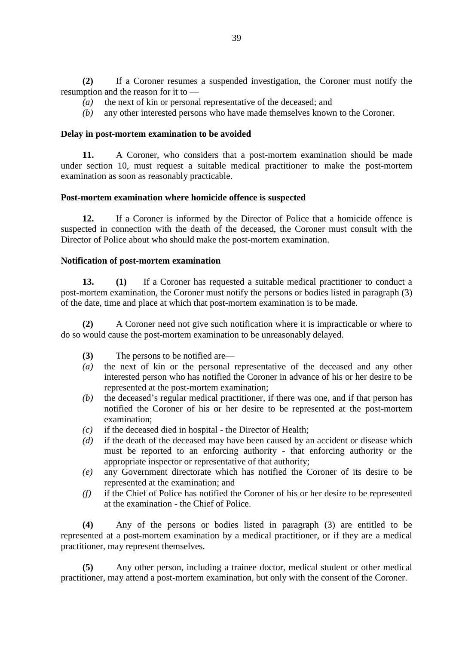**(2)** If a Coroner resumes a suspended investigation, the Coroner must notify the resumption and the reason for it to —

- *(a)* the next of kin or personal representative of the deceased; and
- *(b)* any other interested persons who have made themselves known to the Coroner.

#### **Delay in post-mortem examination to be avoided**

**11.** A Coroner, who considers that a post-mortem examination should be made under section 10, must request a suitable medical practitioner to make the post-mortem examination as soon as reasonably practicable.

#### **Post-mortem examination where homicide offence is suspected**

**12.** If a Coroner is informed by the Director of Police that a homicide offence is suspected in connection with the death of the deceased, the Coroner must consult with the Director of Police about who should make the post-mortem examination.

#### **Notification of post-mortem examination**

**13. (1)** If a Coroner has requested a suitable medical practitioner to conduct a post-mortem examination, the Coroner must notify the persons or bodies listed in paragraph (3) of the date, time and place at which that post-mortem examination is to be made.

**(2)** A Coroner need not give such notification where it is impracticable or where to do so would cause the post-mortem examination to be unreasonably delayed.

- **(3)** The persons to be notified are—
- *(a)* the next of kin or the personal representative of the deceased and any other interested person who has notified the Coroner in advance of his or her desire to be represented at the post-mortem examination;
- *(b)* the deceased's regular medical practitioner, if there was one, and if that person has notified the Coroner of his or her desire to be represented at the post-mortem examination;
- *(c)* if the deceased died in hospital the Director of Health;
- *(d)* if the death of the deceased may have been caused by an accident or disease which must be reported to an enforcing authority - that enforcing authority or the appropriate inspector or representative of that authority;
- *(e)* any Government directorate which has notified the Coroner of its desire to be represented at the examination; and
- *(f)* if the Chief of Police has notified the Coroner of his or her desire to be represented at the examination - the Chief of Police.

**(4)** Any of the persons or bodies listed in paragraph (3) are entitled to be represented at a post-mortem examination by a medical practitioner, or if they are a medical practitioner, may represent themselves.

**(5)** Any other person, including a trainee doctor, medical student or other medical practitioner, may attend a post-mortem examination, but only with the consent of the Coroner.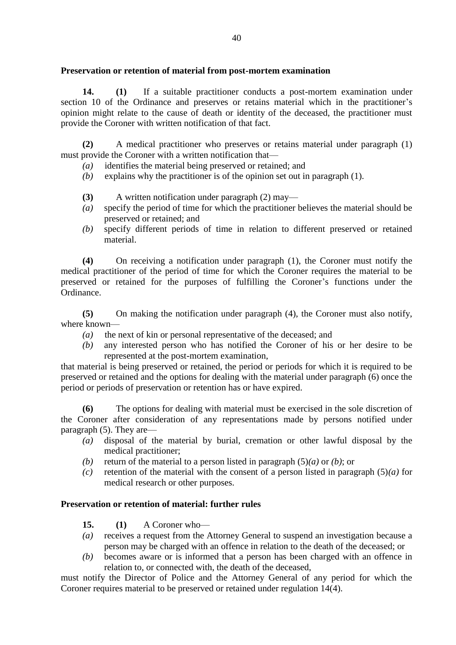## **Preservation or retention of material from post-mortem examination**

**14. (1)** If a suitable practitioner conducts a post-mortem examination under section 10 of the Ordinance and preserves or retains material which in the practitioner's opinion might relate to the cause of death or identity of the deceased, the practitioner must provide the Coroner with written notification of that fact.

**(2)** A medical practitioner who preserves or retains material under paragraph (1) must provide the Coroner with a written notification that—

- *(a)* identifies the material being preserved or retained; and
- *(b)* explains why the practitioner is of the opinion set out in paragraph (1).
- **(3)** A written notification under paragraph (2) may—
- *(a)* specify the period of time for which the practitioner believes the material should be preserved or retained; and
- *(b)* specify different periods of time in relation to different preserved or retained material.

**(4)** On receiving a notification under paragraph (1), the Coroner must notify the medical practitioner of the period of time for which the Coroner requires the material to be preserved or retained for the purposes of fulfilling the Coroner's functions under the Ordinance.

**(5)** On making the notification under paragraph (4), the Coroner must also notify, where known—

- *(a)* the next of kin or personal representative of the deceased; and
- *(b)* any interested person who has notified the Coroner of his or her desire to be represented at the post-mortem examination,

that material is being preserved or retained, the period or periods for which it is required to be preserved or retained and the options for dealing with the material under paragraph (6) once the period or periods of preservation or retention has or have expired.

**(6)** The options for dealing with material must be exercised in the sole discretion of the Coroner after consideration of any representations made by persons notified under paragraph (5). They are—

- *(a)* disposal of the material by burial, cremation or other lawful disposal by the medical practitioner;
- *(b)* return of the material to a person listed in paragraph  $(5)(a)$  or *(b)*; or
- *(c)* retention of the material with the consent of a person listed in paragraph (5)*(a)* for medical research or other purposes.

# **Preservation or retention of material: further rules**

- **15. (1)** A Coroner who—
- *(a)* receives a request from the Attorney General to suspend an investigation because a person may be charged with an offence in relation to the death of the deceased; or
- *(b)* becomes aware or is informed that a person has been charged with an offence in relation to, or connected with, the death of the deceased,

must notify the Director of Police and the Attorney General of any period for which the Coroner requires material to be preserved or retained under regulation 14(4).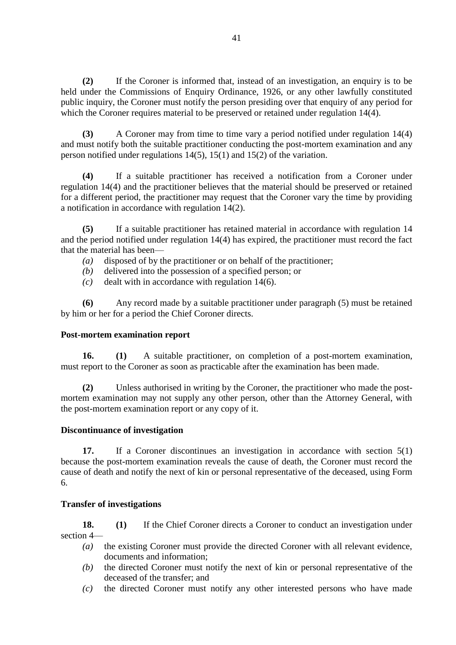**(2)** If the Coroner is informed that, instead of an investigation, an enquiry is to be held under the Commissions of Enquiry Ordinance, 1926, or any other lawfully constituted public inquiry, the Coroner must notify the person presiding over that enquiry of any period for which the Coroner requires material to be preserved or retained under regulation 14(4).

**(3)** A Coroner may from time to time vary a period notified under regulation 14(4) and must notify both the suitable practitioner conducting the post-mortem examination and any person notified under regulations 14(5), 15(1) and 15(2) of the variation.

**(4)** If a suitable practitioner has received a notification from a Coroner under regulation 14(4) and the practitioner believes that the material should be preserved or retained for a different period, the practitioner may request that the Coroner vary the time by providing a notification in accordance with regulation 14(2).

**(5)** If a suitable practitioner has retained material in accordance with regulation 14 and the period notified under regulation 14(4) has expired, the practitioner must record the fact that the material has been—

- *(a)* disposed of by the practitioner or on behalf of the practitioner;
- *(b)* delivered into the possession of a specified person; or
- *(c)* dealt with in accordance with regulation 14(6).

**(6)** Any record made by a suitable practitioner under paragraph (5) must be retained by him or her for a period the Chief Coroner directs.

#### **Post-mortem examination report**

**16. (1)** A suitable practitioner, on completion of a post-mortem examination, must report to the Coroner as soon as practicable after the examination has been made.

**(2)** Unless authorised in writing by the Coroner, the practitioner who made the postmortem examination may not supply any other person, other than the Attorney General, with the post-mortem examination report or any copy of it.

#### **Discontinuance of investigation**

**17.** If a Coroner discontinues an investigation in accordance with section 5(1) because the post-mortem examination reveals the cause of death, the Coroner must record the cause of death and notify the next of kin or personal representative of the deceased, using Form 6.

#### **Transfer of investigations**

**18. (1)** If the Chief Coroner directs a Coroner to conduct an investigation under section 4—

- *(a)* the existing Coroner must provide the directed Coroner with all relevant evidence, documents and information;
- *(b)* the directed Coroner must notify the next of kin or personal representative of the deceased of the transfer; and
- *(c)* the directed Coroner must notify any other interested persons who have made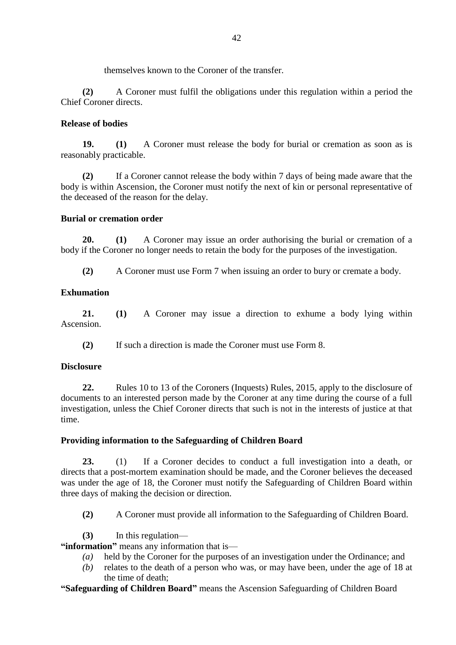themselves known to the Coroner of the transfer.

**(2)** A Coroner must fulfil the obligations under this regulation within a period the Chief Coroner directs.

## **Release of bodies**

**19. (1)** A Coroner must release the body for burial or cremation as soon as is reasonably practicable.

**(2)** If a Coroner cannot release the body within 7 days of being made aware that the body is within Ascension, the Coroner must notify the next of kin or personal representative of the deceased of the reason for the delay.

## **Burial or cremation order**

**20. (1)** A Coroner may issue an order authorising the burial or cremation of a body if the Coroner no longer needs to retain the body for the purposes of the investigation.

**(2)** A Coroner must use Form 7 when issuing an order to bury or cremate a body.

# **Exhumation**

**21. (1)** A Coroner may issue a direction to exhume a body lying within Ascension.

**(2)** If such a direction is made the Coroner must use Form 8.

# **Disclosure**

**22.** Rules 10 to 13 of the Coroners (Inquests) Rules, 2015, apply to the disclosure of documents to an interested person made by the Coroner at any time during the course of a full investigation, unless the Chief Coroner directs that such is not in the interests of justice at that time.

# **Providing information to the Safeguarding of Children Board**

**23.** (1) If a Coroner decides to conduct a full investigation into a death, or directs that a post-mortem examination should be made, and the Coroner believes the deceased was under the age of 18, the Coroner must notify the Safeguarding of Children Board within three days of making the decision or direction.

- **(2)** A Coroner must provide all information to the Safeguarding of Children Board.
- **(3)** In this regulation—

**"information"** means any information that is—

- *(a)* held by the Coroner for the purposes of an investigation under the Ordinance; and
- *(b)* relates to the death of a person who was, or may have been, under the age of 18 at the time of death;

**"Safeguarding of Children Board"** means the Ascension Safeguarding of Children Board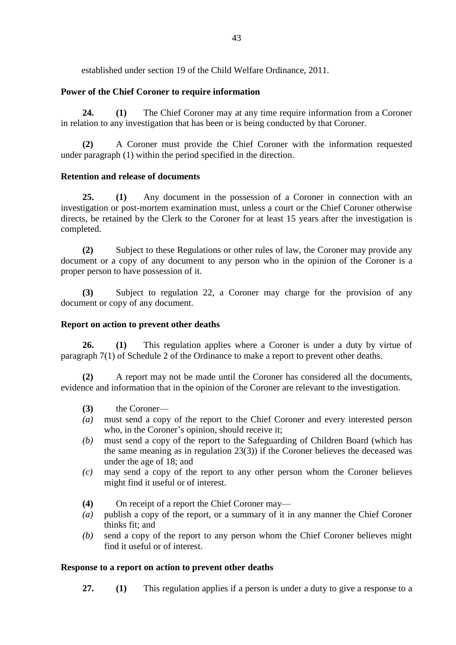established under section 19 of the Child Welfare Ordinance, 2011.

## **Power of the Chief Coroner to require information**

**24. (1)** The Chief Coroner may at any time require information from a Coroner in relation to any investigation that has been or is being conducted by that Coroner.

**(2)** A Coroner must provide the Chief Coroner with the information requested under paragraph (1) within the period specified in the direction.

#### **Retention and release of documents**

**25. (1)** Any document in the possession of a Coroner in connection with an investigation or post-mortem examination must, unless a court or the Chief Coroner otherwise directs, be retained by the Clerk to the Coroner for at least 15 years after the investigation is completed.

**(2)** Subject to these Regulations or other rules of law, the Coroner may provide any document or a copy of any document to any person who in the opinion of the Coroner is a proper person to have possession of it.

**(3)** Subject to regulation 22, a Coroner may charge for the provision of any document or copy of any document.

#### **Report on action to prevent other deaths**

**26. (1)** This regulation applies where a Coroner is under a duty by virtue of paragraph 7(1) of Schedule 2 of the Ordinance to make a report to prevent other deaths.

**(2)** A report may not be made until the Coroner has considered all the documents, evidence and information that in the opinion of the Coroner are relevant to the investigation.

- **(3)** the Coroner—
- *(a)* must send a copy of the report to the Chief Coroner and every interested person who, in the Coroner's opinion, should receive it;
- *(b)* must send a copy of the report to the Safeguarding of Children Board (which has the same meaning as in regulation 23(3)) if the Coroner believes the deceased was under the age of 18; and
- *(c)* may send a copy of the report to any other person whom the Coroner believes might find it useful or of interest.
- **(4)** On receipt of a report the Chief Coroner may—
- *(a)* publish a copy of the report, or a summary of it in any manner the Chief Coroner thinks fit; and
- *(b)* send a copy of the report to any person whom the Chief Coroner believes might find it useful or of interest.

#### **Response to a report on action to prevent other deaths**

**27. (1)** This regulation applies if a person is under a duty to give a response to a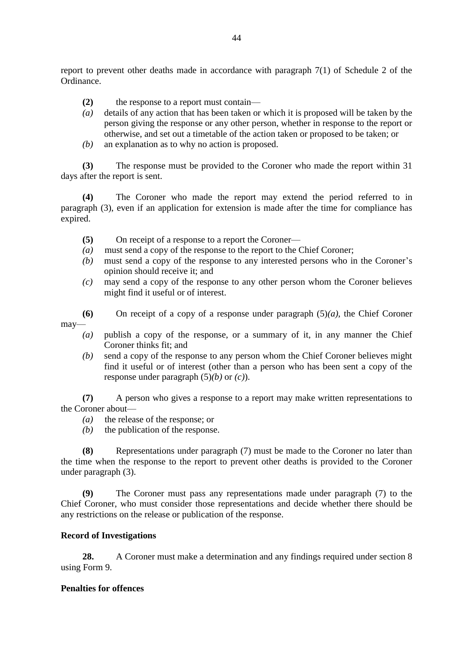report to prevent other deaths made in accordance with paragraph 7(1) of Schedule 2 of the Ordinance.

- **(2)** the response to a report must contain—
- *(a)* details of any action that has been taken or which it is proposed will be taken by the person giving the response or any other person, whether in response to the report or otherwise, and set out a timetable of the action taken or proposed to be taken; or
- *(b)* an explanation as to why no action is proposed.

**(3)** The response must be provided to the Coroner who made the report within 31 days after the report is sent.

**(4)** The Coroner who made the report may extend the period referred to in paragraph (3), even if an application for extension is made after the time for compliance has expired.

- **(5)** On receipt of a response to a report the Coroner—
- *(a)* must send a copy of the response to the report to the Chief Coroner;
- *(b)* must send a copy of the response to any interested persons who in the Coroner's opinion should receive it; and
- *(c)* may send a copy of the response to any other person whom the Coroner believes might find it useful or of interest.

**(6)** On receipt of a copy of a response under paragraph (5)*(a)*, the Chief Coroner may—

- *(a)* publish a copy of the response, or a summary of it, in any manner the Chief Coroner thinks fit; and
- *(b)* send a copy of the response to any person whom the Chief Coroner believes might find it useful or of interest (other than a person who has been sent a copy of the response under paragraph (5)*(b)* or *(c)*).

**(7)** A person who gives a response to a report may make written representations to the Coroner about—

- *(a)* the release of the response; or
- *(b)* the publication of the response.

**(8)** Representations under paragraph (7) must be made to the Coroner no later than the time when the response to the report to prevent other deaths is provided to the Coroner under paragraph (3).

**(9)** The Coroner must pass any representations made under paragraph (7) to the Chief Coroner, who must consider those representations and decide whether there should be any restrictions on the release or publication of the response.

#### **Record of Investigations**

**28.** A Coroner must make a determination and any findings required under section 8 using Form 9.

#### **Penalties for offences**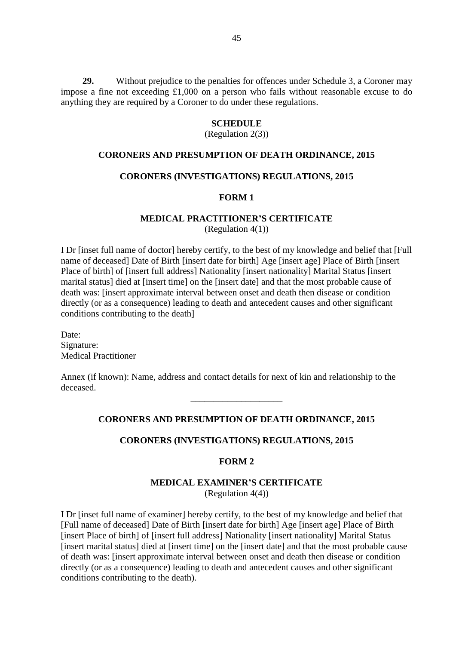**29.** Without prejudice to the penalties for offences under Schedule 3, a Coroner may impose a fine not exceeding £1,000 on a person who fails without reasonable excuse to do anything they are required by a Coroner to do under these regulations.

#### **SCHEDULE**

(Regulation 2(3))

#### **CORONERS AND PRESUMPTION OF DEATH ORDINANCE, 2015**

#### **CORONERS (INVESTIGATIONS) REGULATIONS, 2015**

#### **FORM 1**

## **MEDICAL PRACTITIONER'S CERTIFICATE**

(Regulation 4(1))

I Dr [inset full name of doctor] hereby certify, to the best of my knowledge and belief that [Full name of deceased] Date of Birth [insert date for birth] Age [insert age] Place of Birth [insert Place of birth] of [insert full address] Nationality [insert nationality] Marital Status [insert marital status] died at [insert time] on the [insert date] and that the most probable cause of death was: [insert approximate interval between onset and death then disease or condition directly (or as a consequence) leading to death and antecedent causes and other significant conditions contributing to the death]

Date: Signature: Medical Practitioner

Annex (if known): Name, address and contact details for next of kin and relationship to the deceased.

#### **CORONERS AND PRESUMPTION OF DEATH ORDINANCE, 2015**

\_\_\_\_\_\_\_\_\_\_\_\_\_\_\_\_\_\_\_\_

#### **CORONERS (INVESTIGATIONS) REGULATIONS, 2015**

#### **FORM 2**

#### **MEDICAL EXAMINER'S CERTIFICATE** (Regulation 4(4))

I Dr [inset full name of examiner] hereby certify, to the best of my knowledge and belief that [Full name of deceased] Date of Birth [insert date for birth] Age [insert age] Place of Birth [insert Place of birth] of [insert full address] Nationality [insert nationality] Marital Status [insert marital status] died at [insert time] on the [insert date] and that the most probable cause of death was: [insert approximate interval between onset and death then disease or condition directly (or as a consequence) leading to death and antecedent causes and other significant conditions contributing to the death).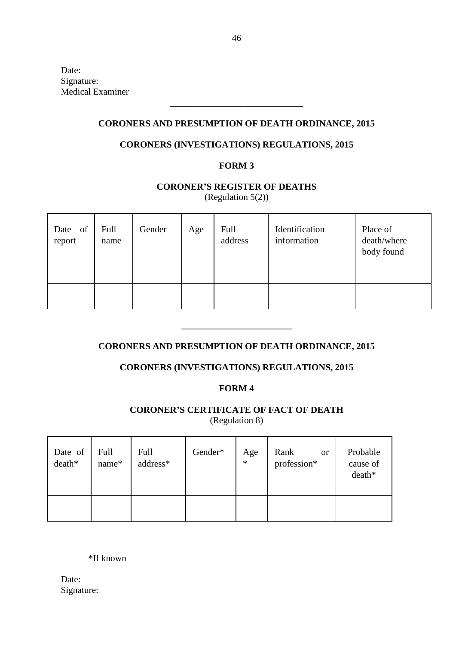Date: Signature: Medical Examiner

## **CORONERS AND PRESUMPTION OF DEATH ORDINANCE, 2015**

**\_\_\_\_\_\_\_\_\_\_\_\_\_\_\_\_\_\_\_\_\_\_\_\_\_\_\_\_\_**

# **CORONERS (INVESTIGATIONS) REGULATIONS, 2015**

## **FORM 3**

# **CORONER'S REGISTER OF DEATHS**

(Regulation 5(2))

| Date of<br>report | Full<br>name | Gender | Age | Full<br>address | Identification<br>information | Place of<br>death/where<br>body found |
|-------------------|--------------|--------|-----|-----------------|-------------------------------|---------------------------------------|
|                   |              |        |     |                 |                               |                                       |

# **CORONERS AND PRESUMPTION OF DEATH ORDINANCE, 2015**

**\_\_\_\_\_\_\_\_\_\_\_\_\_\_\_\_\_\_\_\_\_\_\_\_**

# **CORONERS (INVESTIGATIONS) REGULATIONS, 2015**

#### **FORM 4**

# **CORONER'S CERTIFICATE OF FACT OF DEATH** (Regulation 8)

| Date of<br>death* | Full<br>name* | Full<br>address* | Gender* | Age<br>$\ast$ | Rank<br><sub>or</sub><br>profession* | Probable<br>cause of<br>death* |
|-------------------|---------------|------------------|---------|---------------|--------------------------------------|--------------------------------|
|                   |               |                  |         |               |                                      |                                |

\*If known

Date: Signature: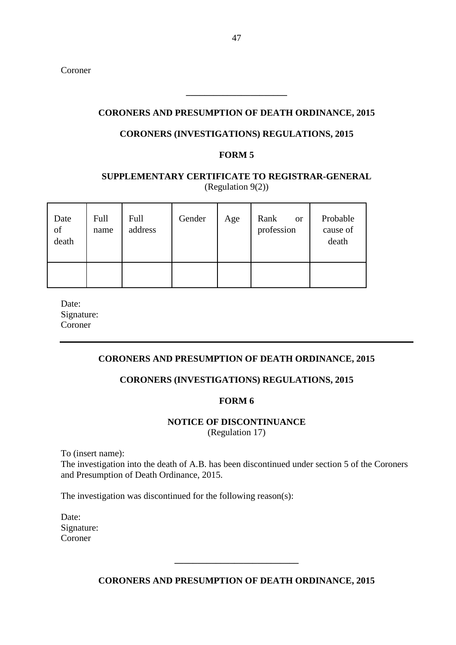Coroner

#### **CORONERS AND PRESUMPTION OF DEATH ORDINANCE, 2015**

**\_\_\_\_\_\_\_\_\_\_\_\_\_\_\_\_\_\_\_\_\_\_**

## **CORONERS (INVESTIGATIONS) REGULATIONS, 2015**

#### **FORM 5**

# **SUPPLEMENTARY CERTIFICATE TO REGISTRAR-GENERAL** (Regulation 9(2))

| Date<br>$% \left( \left( \mathcal{A},\mathcal{A}\right) \right) =\left( \mathcal{A},\mathcal{A}\right)$ of<br>death | Full<br>name | Full<br>address | Gender | Age | Rank<br><sub>or</sub><br>profession | Probable<br>cause of<br>death |
|---------------------------------------------------------------------------------------------------------------------|--------------|-----------------|--------|-----|-------------------------------------|-------------------------------|
|                                                                                                                     |              |                 |        |     |                                     |                               |

Date: Signature: Coroner

# **CORONERS AND PRESUMPTION OF DEATH ORDINANCE, 2015**

#### **CORONERS (INVESTIGATIONS) REGULATIONS, 2015**

#### **FORM 6**

#### **NOTICE OF DISCONTINUANCE** (Regulation 17)

To (insert name):

The investigation into the death of A.B. has been discontinued under section 5 of the Coroners and Presumption of Death Ordinance, 2015.

The investigation was discontinued for the following reason(s):

| Date:      |
|------------|
| Signature: |
| Coroner    |

**CORONERS AND PRESUMPTION OF DEATH ORDINANCE, 2015**

**\_\_\_\_\_\_\_\_\_\_\_\_\_\_\_\_\_\_\_\_\_\_\_\_\_\_\_**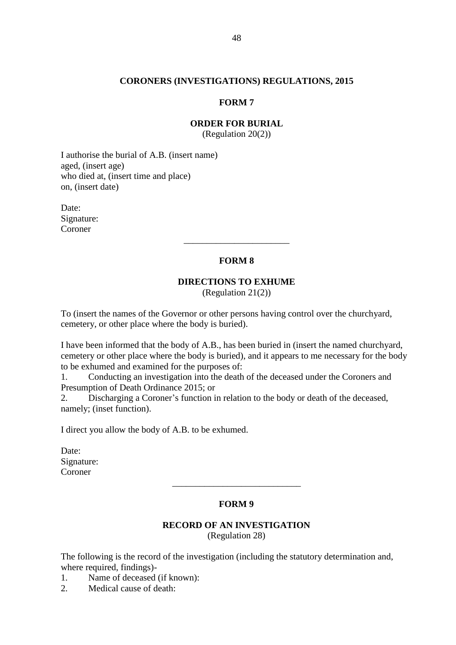#### **CORONERS (INVESTIGATIONS) REGULATIONS, 2015**

#### **FORM 7**

## **ORDER FOR BURIAL**

(Regulation 20(2))

I authorise the burial of A.B. (insert name) aged, (insert age) who died at, (insert time and place) on, (insert date)

Date: Signature: Coroner

#### **FORM 8**

\_\_\_\_\_\_\_\_\_\_\_\_\_\_\_\_\_\_\_\_\_\_\_

## **DIRECTIONS TO EXHUME**

(Regulation 21(2))

To (insert the names of the Governor or other persons having control over the churchyard, cemetery, or other place where the body is buried).

I have been informed that the body of A.B., has been buried in (insert the named churchyard, cemetery or other place where the body is buried), and it appears to me necessary for the body to be exhumed and examined for the purposes of:

1. Conducting an investigation into the death of the deceased under the Coroners and Presumption of Death Ordinance 2015; or

2. Discharging a Coroner's function in relation to the body or death of the deceased, namely; (inset function).

I direct you allow the body of A.B. to be exhumed.

Date: Signature: Coroner

#### **FORM 9**

\_\_\_\_\_\_\_\_\_\_\_\_\_\_\_\_\_\_\_\_\_\_\_\_\_\_\_\_

#### **RECORD OF AN INVESTIGATION** (Regulation 28)

The following is the record of the investigation (including the statutory determination and, where required, findings)-

1. Name of deceased (if known):

2. Medical cause of death: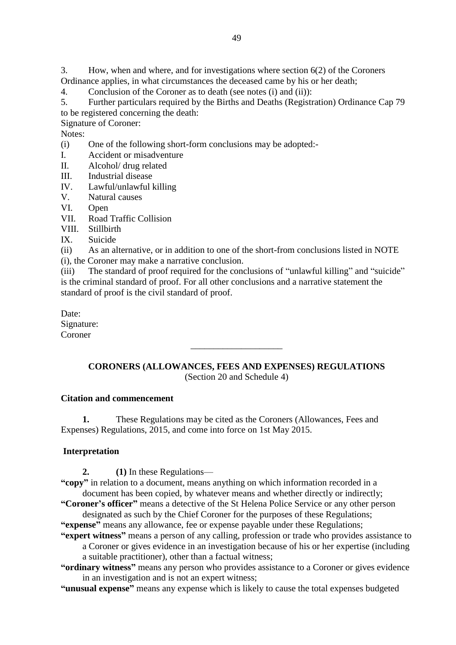3. How, when and where, and for investigations where section 6(2) of the Coroners Ordinance applies, in what circumstances the deceased came by his or her death;

4. Conclusion of the Coroner as to death (see notes (i) and (ii)):

5. Further particulars required by the Births and Deaths (Registration) Ordinance Cap 79 to be registered concerning the death:

Signature of Coroner:

Notes:

- (i) One of the following short-form conclusions may be adopted:-
- I. Accident or misadventure
- II. Alcohol/ drug related
- III. Industrial disease
- IV. Lawful/unlawful killing
- V. Natural causes
- VI. Open
- VII. Road Traffic Collision
- VIII. Stillbirth
- IX. Suicide
- (ii) As an alternative, or in addition to one of the short-from conclusions listed in NOTE (i), the Coroner may make a narrative conclusion.

(iii) The standard of proof required for the conclusions of "unlawful killing" and "suicide" is the criminal standard of proof. For all other conclusions and a narrative statement the standard of proof is the civil standard of proof.

Date: Signature: Coroner

# **CORONERS (ALLOWANCES, FEES AND EXPENSES) REGULATIONS**  (Section 20 and Schedule 4)

\_\_\_\_\_\_\_\_\_\_\_\_\_\_\_\_\_\_\_\_

#### **Citation and commencement**

**1.** These Regulations may be cited as the Coroners (Allowances, Fees and Expenses) Regulations, 2015, and come into force on 1st May 2015.

#### **Interpretation**

**2. (1)** In these Regulations—

**"copy"** in relation to a document, means anything on which information recorded in a document has been copied, by whatever means and whether directly or indirectly;

**"Coroner's officer"** means a detective of the St Helena Police Service or any other person designated as such by the Chief Coroner for the purposes of these Regulations;

**"expense"** means any allowance, fee or expense payable under these Regulations;

- **"expert witness"** means a person of any calling, profession or trade who provides assistance to a Coroner or gives evidence in an investigation because of his or her expertise (including a suitable practitioner), other than a factual witness;
- **"ordinary witness"** means any person who provides assistance to a Coroner or gives evidence in an investigation and is not an expert witness;
- **"unusual expense"** means any expense which is likely to cause the total expenses budgeted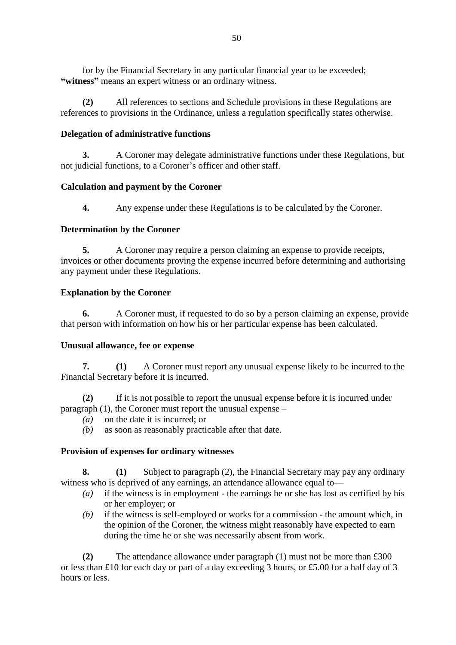for by the Financial Secretary in any particular financial year to be exceeded; **"witness"** means an expert witness or an ordinary witness.

**(2)** All references to sections and Schedule provisions in these Regulations are references to provisions in the Ordinance, unless a regulation specifically states otherwise.

## **Delegation of administrative functions**

**3.** A Coroner may delegate administrative functions under these Regulations, but not judicial functions, to a Coroner's officer and other staff.

## **Calculation and payment by the Coroner**

**4.** Any expense under these Regulations is to be calculated by the Coroner.

## **Determination by the Coroner**

**5.** A Coroner may require a person claiming an expense to provide receipts, invoices or other documents proving the expense incurred before determining and authorising any payment under these Regulations.

## **Explanation by the Coroner**

**6.** A Coroner must, if requested to do so by a person claiming an expense, provide that person with information on how his or her particular expense has been calculated.

# **Unusual allowance, fee or expense**

**7. (1)** A Coroner must report any unusual expense likely to be incurred to the Financial Secretary before it is incurred.

**(2)** If it is not possible to report the unusual expense before it is incurred under paragraph (1), the Coroner must report the unusual expense –

- *(a)* on the date it is incurred; or
- *(b)* as soon as reasonably practicable after that date.

# **Provision of expenses for ordinary witnesses**

**8. (1)** Subject to paragraph (2), the Financial Secretary may pay any ordinary witness who is deprived of any earnings, an attendance allowance equal to—

- *(a)* if the witness is in employment the earnings he or she has lost as certified by his or her employer; or
- *(b)* if the witness is self-employed or works for a commission the amount which, in the opinion of the Coroner, the witness might reasonably have expected to earn during the time he or she was necessarily absent from work.

**(2)** The attendance allowance under paragraph (1) must not be more than £300 or less than £10 for each day or part of a day exceeding 3 hours, or £5.00 for a half day of 3 hours or less.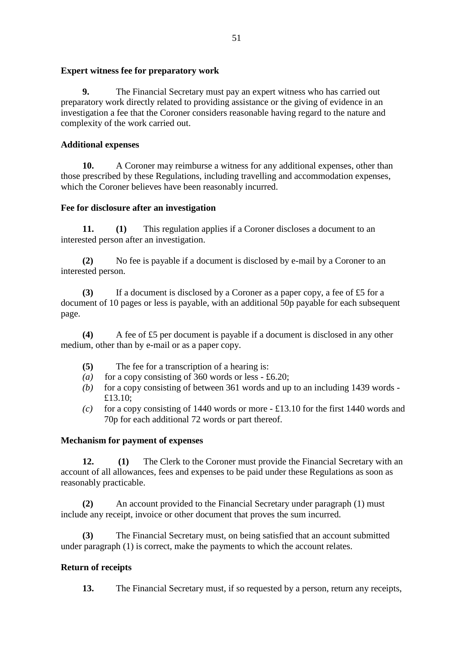## **Expert witness fee for preparatory work**

**9.** The Financial Secretary must pay an expert witness who has carried out preparatory work directly related to providing assistance or the giving of evidence in an investigation a fee that the Coroner considers reasonable having regard to the nature and complexity of the work carried out.

# **Additional expenses**

**10.** A Coroner may reimburse a witness for any additional expenses, other than those prescribed by these Regulations, including travelling and accommodation expenses, which the Coroner believes have been reasonably incurred.

## **Fee for disclosure after an investigation**

**11. (1)** This regulation applies if a Coroner discloses a document to an interested person after an investigation.

**(2)** No fee is payable if a document is disclosed by e-mail by a Coroner to an interested person.

**(3)** If a document is disclosed by a Coroner as a paper copy, a fee of £5 for a document of 10 pages or less is payable, with an additional 50p payable for each subsequent page.

**(4)** A fee of £5 per document is payable if a document is disclosed in any other medium, other than by e-mail or as a paper copy.

- **(5)** The fee for a transcription of a hearing is:
- *(a)* for a copy consisting of 360 words or less £6.20;
- *(b)* for a copy consisting of between 361 words and up to an including 1439 words £13.10;
- *(c)* for a copy consisting of 1440 words or more  $\pounds 13.10$  for the first 1440 words and 70p for each additional 72 words or part thereof.

#### **Mechanism for payment of expenses**

**12. (1)** The Clerk to the Coroner must provide the Financial Secretary with an account of all allowances, fees and expenses to be paid under these Regulations as soon as reasonably practicable.

**(2)** An account provided to the Financial Secretary under paragraph (1) must include any receipt, invoice or other document that proves the sum incurred.

**(3)** The Financial Secretary must, on being satisfied that an account submitted under paragraph (1) is correct, make the payments to which the account relates.

# **Return of receipts**

**13.** The Financial Secretary must, if so requested by a person, return any receipts,